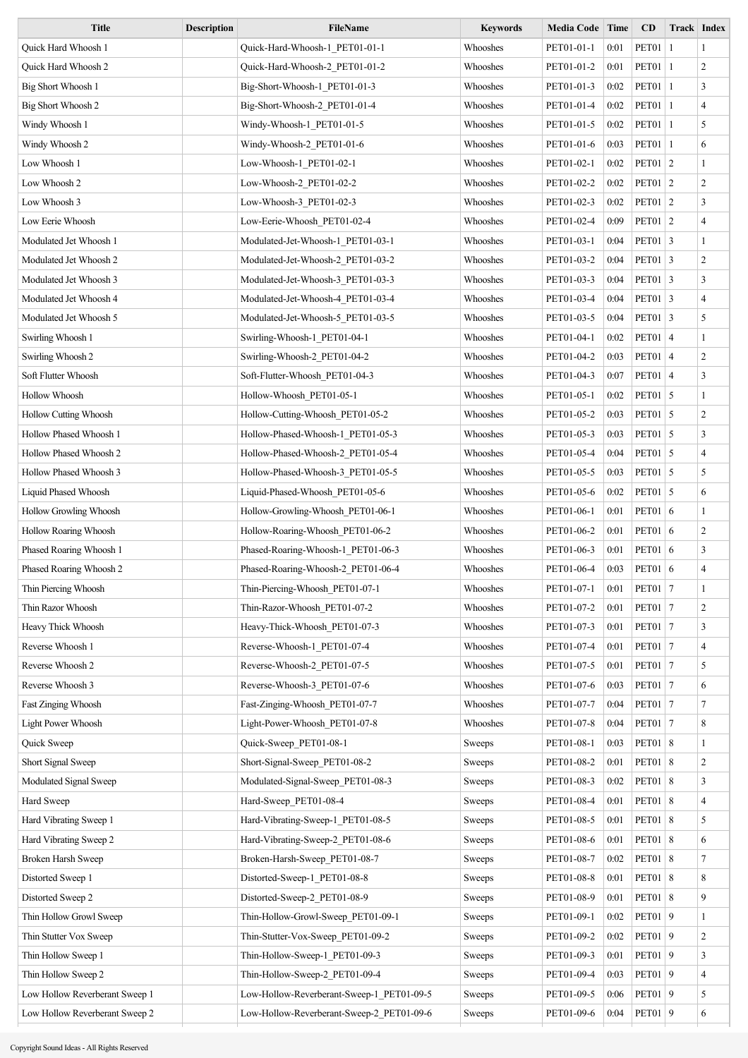| <b>Title</b>                   | <b>Description</b> | <b>FileName</b>                           | <b>Keywords</b> | <b>Media Code</b> | Time | CD               | <b>Track Index</b> |
|--------------------------------|--------------------|-------------------------------------------|-----------------|-------------------|------|------------------|--------------------|
| Quick Hard Whoosh 1            |                    | Quick-Hard-Whoosh-1 PET01-01-1            | Whooshes        | PET01-01-1        | 0:01 | <b>PET01</b>   1 | -1                 |
| Quick Hard Whoosh 2            |                    | Quick-Hard-Whoosh-2_PET01-01-2            | Whooshes        | PET01-01-2        | 0:01 | <b>PET01</b>   1 | $\overline{2}$     |
| Big Short Whoosh 1             |                    | Big-Short-Whoosh-1 PET01-01-3             | Whooshes        | PET01-01-3        | 0:02 | <b>PET01</b>   1 | 3                  |
| Big Short Whoosh 2             |                    | Big-Short-Whoosh-2_PET01-01-4             | Whooshes        | PET01-01-4        | 0:02 | <b>PET01</b>   1 | $\overline{4}$     |
| Windy Whoosh 1                 |                    | Windy-Whoosh-1_PET01-01-5                 | Whooshes        | PET01-01-5        | 0:02 | <b>PET01</b>   1 | 5                  |
| Windy Whoosh 2                 |                    | Windy-Whoosh-2_PET01-01-6                 | Whooshes        | PET01-01-6        | 0:03 | <b>PET01</b>   1 | 6                  |
| Low Whoosh 1                   |                    | Low-Whoosh-1 PET01-02-1                   | Whooshes        | PET01-02-1        | 0:02 | <b>PET01</b> 2   | $\mathbf{1}$       |
| Low Whoosh 2                   |                    | Low-Whoosh-2_PET01-02-2                   | Whooshes        | PET01-02-2        | 0:02 | <b>PET01</b> 2   | $\overline{2}$     |
| Low Whoosh 3                   |                    | Low-Whoosh-3_PET01-02-3                   | Whooshes        | PET01-02-3        | 0:02 | PET01   2        | $\overline{3}$     |
| Low Eerie Whoosh               |                    | Low-Eerie-Whoosh PET01-02-4               | Whooshes        | PET01-02-4        | 0:09 | <b>PET01</b> 2   | $\overline{4}$     |
| Modulated Jet Whoosh 1         |                    | Modulated-Jet-Whoosh-1 PET01-03-1         | Whooshes        | PET01-03-1        | 0:04 | PET01 $\vert$ 3  | $\mathbf{1}$       |
| Modulated Jet Whoosh 2         |                    | Modulated-Jet-Whoosh-2 PET01-03-2         | Whooshes        | PET01-03-2        | 0:04 | PET01 $\vert$ 3  | $\overline{2}$     |
| Modulated Jet Whoosh 3         |                    | Modulated-Jet-Whoosh-3_PET01-03-3         | Whooshes        | PET01-03-3        | 0:04 | PET01 $\vert$ 3  | $\overline{3}$     |
| Modulated Jet Whoosh 4         |                    | Modulated-Jet-Whoosh-4 PET01-03-4         | Whooshes        | PET01-03-4        | 0:04 | $PET01$ 3        | $\overline{4}$     |
| Modulated Jet Whoosh 5         |                    | Modulated-Jet-Whoosh-5 PET01-03-5         | Whooshes        | PET01-03-5        | 0:04 | $PET01$ 3        | 5                  |
| Swirling Whoosh 1              |                    | Swirling-Whoosh-1_PET01-04-1              | Whooshes        | PET01-04-1        | 0:02 | PET01 4          | $\mathbf{1}$       |
| Swirling Whoosh 2              |                    | Swirling-Whoosh-2_PET01-04-2              | Whooshes        | PET01-04-2        | 0:03 | PET01 4          | $\overline{2}$     |
| Soft Flutter Whoosh            |                    | Soft-Flutter-Whoosh PET01-04-3            | Whooshes        | PET01-04-3        | 0:07 | PET01 4          | 3                  |
| Hollow Whoosh                  |                    | Hollow-Whoosh PET01-05-1                  | Whooshes        | PET01-05-1        | 0:02 | PET01 5          | $\mathbf{1}$       |
| <b>Hollow Cutting Whoosh</b>   |                    | Hollow-Cutting-Whoosh PET01-05-2          | Whooshes        | PET01-05-2        | 0:03 | PET01 5          | $\overline{2}$     |
| Hollow Phased Whoosh 1         |                    | Hollow-Phased-Whoosh-1 PET01-05-3         | Whooshes        | PET01-05-3        | 0:03 | $PET01$ 5        | 3                  |
| Hollow Phased Whoosh 2         |                    | Hollow-Phased-Whoosh-2 PET01-05-4         | Whooshes        | PET01-05-4        | 0:04 | $PET01$ 5        | $\overline{4}$     |
| Hollow Phased Whoosh 3         |                    | Hollow-Phased-Whoosh-3 PET01-05-5         | Whooshes        | PET01-05-5        | 0:03 | $PET01$ 5        | 5                  |
| Liquid Phased Whoosh           |                    | Liquid-Phased-Whoosh PET01-05-6           | Whooshes        | PET01-05-6        | 0:02 | PET01 $\vert$ 5  | 6                  |
| Hollow Growling Whoosh         |                    | Hollow-Growling-Whoosh PET01-06-1         | Whooshes        | PET01-06-1        | 0:01 | PET01 $\vert 6$  | $\mathbf{1}$       |
| Hollow Roaring Whoosh          |                    | Hollow-Roaring-Whoosh PET01-06-2          | Whooshes        | PET01-06-2        | 0:01 | PET01 6          | $\overline{2}$     |
| Phased Roaring Whoosh 1        |                    | Phased-Roaring-Whoosh-1 PET01-06-3        | Whooshes        | PET01-06-3        | 0:01 | PET01 6          | 3                  |
| Phased Roaring Whoosh 2        |                    | Phased-Roaring-Whoosh-2_PET01-06-4        | Whooshes        | PET01-06-4        | 0:03 | PET01 6          | $\overline{4}$     |
| Thin Piercing Whoosh           |                    | Thin-Piercing-Whoosh_PET01-07-1           | Whooshes        | PET01-07-1        | 0:01 | <b>PET01</b>   7 | -1                 |
| Thin Razor Whoosh              |                    | Thin-Razor-Whoosh_PET01-07-2              | Whooshes        | PET01-07-2        | 0:01 | <b>PET01</b>   7 | 2                  |
| Heavy Thick Whoosh             |                    | Heavy-Thick-Whoosh_PET01-07-3             | Whooshes        | PET01-07-3        | 0:01 | <b>PET01</b>   7 | 3                  |
| Reverse Whoosh 1               |                    | Reverse-Whoosh-1 PET01-07-4               | Whooshes        | PET01-07-4        | 0:01 | <b>PET01</b>   7 | $\overline{4}$     |
| Reverse Whoosh 2               |                    | Reverse-Whoosh-2_PET01-07-5               | Whooshes        | PET01-07-5        | 0:01 | <b>PET01</b>   7 | 5                  |
| Reverse Whoosh 3               |                    | Reverse-Whoosh-3 PET01-07-6               | Whooshes        | PET01-07-6        | 0:03 | <b>PET01</b>   7 | 6                  |
| Fast Zinging Whoosh            |                    | Fast-Zinging-Whoosh PET01-07-7            | Whooshes        | PET01-07-7        | 0:04 | PET01 7          | $\tau$             |
| Light Power Whoosh             |                    | Light-Power-Whoosh PET01-07-8             | Whooshes        | PET01-07-8        | 0:04 | <b>PET01</b>   7 | 8                  |
|                                |                    |                                           |                 |                   | 0:03 | <b>PET01</b> 8   | $\mathbf{1}$       |
| Quick Sweep                    |                    | Quick-Sweep_PET01-08-1                    | Sweeps          | PET01-08-1        |      |                  |                    |
| Short Signal Sweep             |                    | Short-Signal-Sweep_PET01-08-2             | Sweeps          | PET01-08-2        | 0:01 | PET01 $ 8$       | $\overline{2}$     |
| Modulated Signal Sweep         |                    | Modulated-Signal-Sweep PET01-08-3         | Sweeps          | PET01-08-3        | 0:02 | <b>PET01</b> 8   | $\mathfrak{Z}$     |
| Hard Sweep                     |                    | Hard-Sweep_PET01-08-4                     | Sweeps          | PET01-08-4        | 0:01 | <b>PET01</b> 8   | $\overline{4}$     |
| Hard Vibrating Sweep 1         |                    | Hard-Vibrating-Sweep-1 PET01-08-5         | Sweeps          | PET01-08-5        | 0:01 | <b>PET01</b> 8   | 5                  |
| Hard Vibrating Sweep 2         |                    | Hard-Vibrating-Sweep-2_PET01-08-6         | Sweeps          | PET01-08-6        | 0:01 | PET01 $ 8$       | 6                  |
| Broken Harsh Sweep             |                    | Broken-Harsh-Sweep PET01-08-7             | Sweeps          | PET01-08-7        | 0:02 | <b>PET01</b> 8   | $\tau$             |
| Distorted Sweep 1              |                    | Distorted-Sweep-1_PET01-08-8              | Sweeps          | PET01-08-8        | 0:01 | <b>PET01</b> 8   | 8                  |
| Distorted Sweep 2              |                    | Distorted-Sweep-2_PET01-08-9              | Sweeps          | PET01-08-9        | 0:01 | <b>PET01</b> 8   | 9                  |
| Thin Hollow Growl Sweep        |                    | Thin-Hollow-Growl-Sweep PET01-09-1        | Sweeps          | PET01-09-1        | 0:02 | PET01 9          | $\mathbf{1}$       |
| Thin Stutter Vox Sweep         |                    | Thin-Stutter-Vox-Sweep_PET01-09-2         | Sweeps          | PET01-09-2        | 0:02 | PET01 9          | 2                  |
| Thin Hollow Sweep 1            |                    | Thin-Hollow-Sweep-1 PET01-09-3            | Sweeps          | PET01-09-3        | 0:01 | PET01 9          | 3                  |
| Thin Hollow Sweep 2            |                    | Thin-Hollow-Sweep-2_PET01-09-4            | Sweeps          | PET01-09-4        | 0:03 | PET01 9          | $\overline{4}$     |
| Low Hollow Reverberant Sweep 1 |                    | Low-Hollow-Reverberant-Sweep-1 PET01-09-5 | Sweeps          | PET01-09-5        | 0:06 | PET01 9          | 5                  |
| Low Hollow Reverberant Sweep 2 |                    | Low-Hollow-Reverberant-Sweep-2_PET01-09-6 | Sweeps          | PET01-09-6        | 0:04 | PET01 9          | 6                  |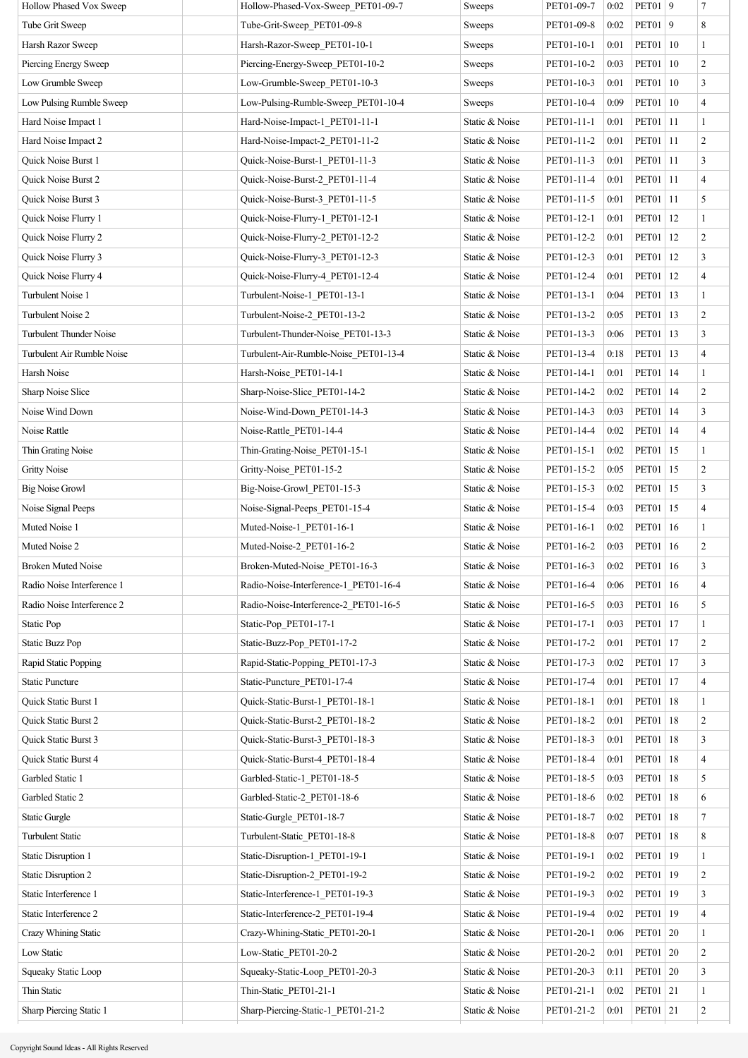| Hollow Phased Vox Sweep        | Hollow-Phased-Vox-Sweep PET01-09-7    | Sweeps         | PET01-09-7 | 0:02 | PET01   9           |    | 7              |
|--------------------------------|---------------------------------------|----------------|------------|------|---------------------|----|----------------|
| Tube Grit Sweep                | Tube-Grit-Sweep PET01-09-8            | Sweeps         | PET01-09-8 | 0:02 | PET01 9             |    | 8              |
| Harsh Razor Sweep              | Harsh-Razor-Sweep_PET01-10-1          | Sweeps         | PET01-10-1 | 0:01 | PET01   10          |    | $\mathbf{1}$   |
| Piercing Energy Sweep          | Piercing-Energy-Sweep_PET01-10-2      | Sweeps         | PET01-10-2 | 0:03 | PET01   10          |    | $\overline{c}$ |
| Low Grumble Sweep              | Low-Grumble-Sweep_PET01-10-3          | Sweeps         | PET01-10-3 | 0:01 | PET01   10          |    | 3              |
| Low Pulsing Rumble Sweep       | Low-Pulsing-Rumble-Sweep PET01-10-4   | Sweeps         | PET01-10-4 | 0:09 | PET01   10          |    | $\overline{4}$ |
| Hard Noise Impact 1            | Hard-Noise-Impact-1 PET01-11-1        | Static & Noise | PET01-11-1 | 0:01 | PET01   11          |    | $\mathbf{1}$   |
| Hard Noise Impact 2            | Hard-Noise-Impact-2_PET01-11-2        | Static & Noise | PET01-11-2 | 0:01 | PET01   11          |    | $\overline{c}$ |
| Quick Noise Burst 1            | Quick-Noise-Burst-1 PET01-11-3        | Static & Noise | PET01-11-3 | 0:01 | PET01   11          |    | $\mathfrak{Z}$ |
| Quick Noise Burst 2            | Quick-Noise-Burst-2_PET01-11-4        | Static & Noise | PET01-11-4 | 0:01 | PET01   11          |    | $\overline{4}$ |
| Quick Noise Burst 3            | Quick-Noise-Burst-3 PET01-11-5        | Static & Noise | PET01-11-5 | 0:01 | PET01   11          |    | 5              |
| Quick Noise Flurry 1           | Quick-Noise-Flurry-1 PET01-12-1       | Static & Noise | PET01-12-1 | 0:01 | <b>PET01</b>        | 12 | $\mathbf{1}$   |
| Quick Noise Flurry 2           | Quick-Noise-Flurry-2 PET01-12-2       | Static & Noise | PET01-12-2 | 0:01 | PET01   12          |    | $\overline{c}$ |
| Quick Noise Flurry 3           | Quick-Noise-Flurry-3 PET01-12-3       | Static & Noise | PET01-12-3 | 0:01 | PET01               | 12 | 3              |
| Quick Noise Flurry 4           | Quick-Noise-Flurry-4 PET01-12-4       | Static & Noise | PET01-12-4 | 0:01 | PET01               | 12 | $\overline{4}$ |
| Turbulent Noise 1              | Turbulent-Noise-1 PET01-13-1          | Static & Noise | PET01-13-1 | 0:04 | PET01   13          |    | $\mathbf{1}$   |
| Turbulent Noise 2              | Turbulent-Noise-2 PET01-13-2          | Static & Noise | PET01-13-2 | 0:05 | PET01               | 13 | $\overline{c}$ |
| <b>Turbulent Thunder Noise</b> | Turbulent-Thunder-Noise PET01-13-3    | Static & Noise | PET01-13-3 | 0:06 | <b>PET01</b>        | 13 | $\mathfrak{Z}$ |
| Turbulent Air Rumble Noise     | Turbulent-Air-Rumble-Noise PET01-13-4 | Static & Noise | PET01-13-4 | 0:18 | <b>PET01</b>        | 13 | $\overline{4}$ |
| Harsh Noise                    | Harsh-Noise PET01-14-1                | Static & Noise | PET01-14-1 | 0:01 | PET01   14          |    | $\mathbf{1}$   |
| Sharp Noise Slice              | Sharp-Noise-Slice PET01-14-2          | Static & Noise | PET01-14-2 | 0:02 | PET01   14          |    | $\sqrt{2}$     |
| Noise Wind Down                | Noise-Wind-Down PET01-14-3            | Static & Noise | PET01-14-3 | 0:03 | PET01               | 14 | $\mathfrak{Z}$ |
| Noise Rattle                   | Noise-Rattle PET01-14-4               | Static & Noise | PET01-14-4 | 0:02 | <b>PET01</b>        | 14 | $\overline{4}$ |
| Thin Grating Noise             | Thin-Grating-Noise PET01-15-1         | Static & Noise | PET01-15-1 | 0:02 | <b>PET01</b>        | 15 | $\mathbf{1}$   |
| <b>Gritty Noise</b>            | Gritty-Noise_PET01-15-2               | Static & Noise | PET01-15-2 | 0:05 | <b>PET01</b>        | 15 | $\overline{c}$ |
| <b>Big Noise Growl</b>         | Big-Noise-Growl_PET01-15-3            | Static & Noise | PET01-15-3 | 0:02 | <b>PET01</b>        | 15 | $\mathfrak{Z}$ |
| Noise Signal Peeps             | Noise-Signal-Peeps PET01-15-4         | Static & Noise | PET01-15-4 | 0:03 | PET01   15          |    | $\overline{4}$ |
| Muted Noise 1                  | Muted-Noise-1 PET01-16-1              | Static & Noise | PET01-16-1 | 0:02 | PET01   16          |    | $\mathbf{1}$   |
| Muted Noise 2                  | Muted-Noise-2 PET01-16-2              | Static & Noise | PET01-16-2 | 0:03 | PET01   16          |    | $\overline{c}$ |
| <b>Broken Muted Noise</b>      | Broken-Muted-Noise_PET01-16-3         | Static & Noise | PET01-16-3 |      | $0:02$   PET01   16 |    | 3              |
| Radio Noise Interference 1     | Radio-Noise-Interference-1 PET01-16-4 | Static & Noise | PET01-16-4 | 0:06 | PET01   16          |    | 4              |
| Radio Noise Interference 2     | Radio-Noise-Interference-2 PET01-16-5 | Static & Noise | PET01-16-5 | 0:03 | PET01   16          |    | 5              |
| Static Pop                     | Static-Pop_PET01-17-1                 | Static & Noise | PET01-17-1 | 0:03 | PET01   17          |    | $\mathbf{1}$   |
| <b>Static Buzz Pop</b>         | Static-Buzz-Pop PET01-17-2            | Static & Noise | PET01-17-2 | 0:01 | PET01   17          |    | $\overline{c}$ |
| Rapid Static Popping           | Rapid-Static-Popping_PET01-17-3       | Static & Noise | PET01-17-3 | 0:02 | <b>PET01</b>        | 17 | 3              |
| <b>Static Puncture</b>         | Static-Puncture PET01-17-4            | Static & Noise | PET01-17-4 | 0:01 | PET01   17          |    | 4              |
| Quick Static Burst 1           | Quick-Static-Burst-1 PET01-18-1       | Static & Noise | PET01-18-1 | 0:01 | PET01   18          |    | 1              |
| Quick Static Burst 2           | Quick-Static-Burst-2 PET01-18-2       | Static & Noise | PET01-18-2 | 0:01 | <b>PET01</b>        | 18 | $\overline{c}$ |
| Quick Static Burst 3           | Quick-Static-Burst-3 PET01-18-3       | Static & Noise | PET01-18-3 | 0:01 | <b>PET01</b>        | 18 | 3              |
| Quick Static Burst 4           | Quick-Static-Burst-4 PET01-18-4       | Static & Noise | PET01-18-4 | 0:01 | PET01               | 18 | $\overline{4}$ |
| Garbled Static 1               | Garbled-Static-1 PET01-18-5           | Static & Noise | PET01-18-5 | 0:03 | <b>PET01</b>        | 18 | 5              |
| Garbled Static 2               | Garbled-Static-2 PET01-18-6           | Static & Noise | PET01-18-6 | 0:02 | PET01               | 18 | 6              |
| <b>Static Gurgle</b>           | Static-Gurgle PET01-18-7              | Static & Noise | PET01-18-7 | 0:02 | PET01   18          |    | $\tau$         |
| <b>Turbulent Static</b>        | Turbulent-Static PET01-18-8           | Static & Noise | PET01-18-8 | 0:07 | PET01   18          |    | 8              |
| Static Disruption 1            | Static-Disruption-1 PET01-19-1        | Static & Noise | PET01-19-1 | 0:02 | PET01   19          |    | 1              |
| <b>Static Disruption 2</b>     | Static-Disruption-2 PET01-19-2        | Static & Noise | PET01-19-2 | 0:02 | PET01   19          |    | $\overline{c}$ |
| Static Interference 1          | Static-Interference-1 PET01-19-3      | Static & Noise | PET01-19-3 | 0:02 | PET01   19          |    | 3              |
| Static Interference 2          | Static-Interference-2_PET01-19-4      | Static & Noise | PET01-19-4 | 0:02 | PET01   19          |    | $\overline{4}$ |
| Crazy Whining Static           | Crazy-Whining-Static_PET01-20-1       | Static & Noise | PET01-20-1 | 0:06 | <b>PET01</b>        | 20 | 1              |
| Low Static                     | Low-Static PET01-20-2                 | Static & Noise | PET01-20-2 | 0:01 | PET01   20          |    | $\overline{c}$ |
| Squeaky Static Loop            | Squeaky-Static-Loop_PET01-20-3        | Static & Noise | PET01-20-3 | 0:11 | PET01 20            |    | 3              |
| Thin Static                    | Thin-Static PET01-21-1                | Static & Noise | PET01-21-1 | 0:02 | PET01   21          |    | 1              |
| Sharp Piercing Static 1        | Sharp-Piercing-Static-1_PET01-21-2    | Static & Noise | PET01-21-2 | 0:01 | PET01   21          |    | $\overline{c}$ |
|                                |                                       |                |            |      |                     |    |                |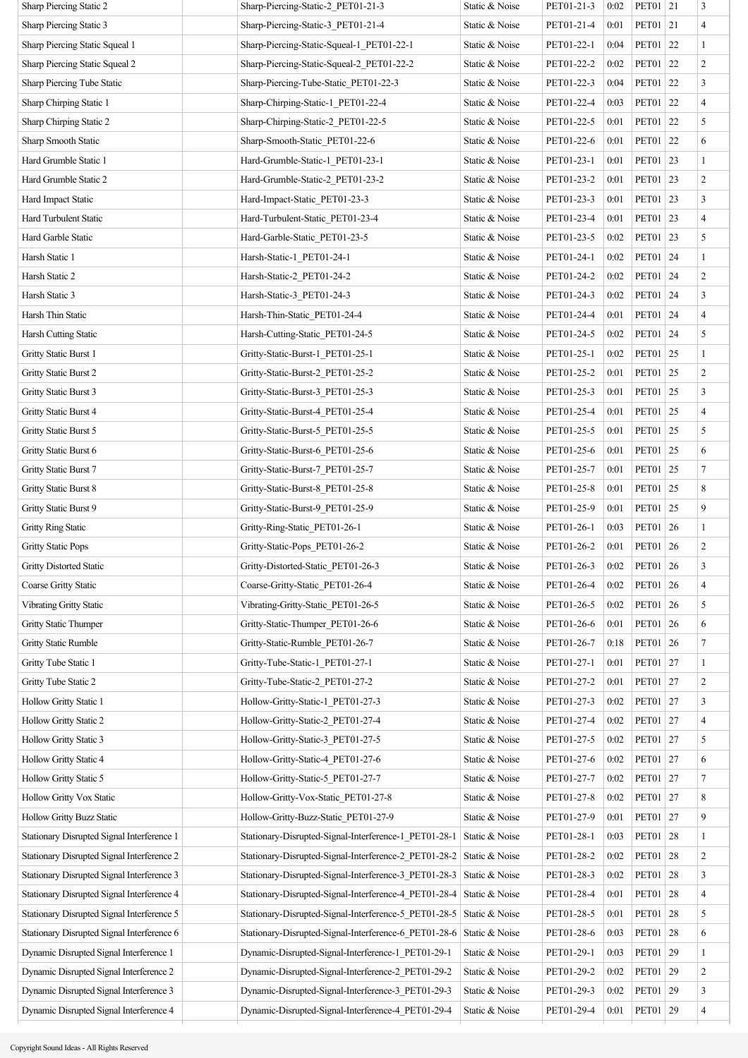| Sharp Piercing Static 2                    | Sharp-Piercing-Static-2 PET01-21-3                    | Static & Noise | PET01-21-3 | 0:02 | PET01   21          |    | 3                        |
|--------------------------------------------|-------------------------------------------------------|----------------|------------|------|---------------------|----|--------------------------|
| Sharp Piercing Static 3                    | Sharp-Piercing-Static-3 PET01-21-4                    | Static & Noise | PET01-21-4 | 0:01 | PET01 21            |    | 4                        |
| Sharp Piercing Static Squeal 1             | Sharp-Piercing-Static-Squeal-1 PET01-22-1             | Static & Noise | PET01-22-1 | 0:04 | PET01 22            |    | $\mathbf{1}$             |
| Sharp Piercing Static Squeal 2             | Sharp-Piercing-Static-Squeal-2 PET01-22-2             | Static & Noise | PET01-22-2 | 0:02 | <b>PET01</b>        | 22 | $\overline{c}$           |
| Sharp Piercing Tube Static                 | Sharp-Piercing-Tube-Static PET01-22-3                 | Static & Noise | PET01-22-3 | 0:04 | <b>PET01</b>        | 22 | 3                        |
| Sharp Chirping Static 1                    | Sharp-Chirping-Static-1 PET01-22-4                    | Static & Noise | PET01-22-4 | 0:03 | PET01 22            |    | $\overline{4}$           |
| Sharp Chirping Static 2                    | Sharp-Chirping-Static-2 PET01-22-5                    | Static & Noise | PET01-22-5 | 0:01 | PET01 22            |    | 5                        |
| Sharp Smooth Static                        | Sharp-Smooth-Static_PET01-22-6                        | Static & Noise | PET01-22-6 | 0:01 | <b>PET01</b>        | 22 | 6                        |
| Hard Grumble Static 1                      | Hard-Grumble-Static-1 PET01-23-1                      | Static & Noise | PET01-23-1 | 0:01 | PET01 23            |    | 1                        |
| Hard Grumble Static 2                      | Hard-Grumble-Static-2 PET01-23-2                      | Static & Noise | PET01-23-2 | 0:01 | <b>PET01</b>        | 23 | $\overline{c}$           |
| Hard Impact Static                         | Hard-Impact-Static PET01-23-3                         | Static & Noise | PET01-23-3 | 0:01 | PET01   23          |    | $\mathfrak{Z}$           |
| Hard Turbulent Static                      | Hard-Turbulent-Static PET01-23-4                      | Static & Noise | PET01-23-4 | 0:01 | PET01               | 23 | $\overline{4}$           |
| Hard Garble Static                         | Hard-Garble-Static_PET01-23-5                         | Static & Noise | PET01-23-5 | 0:02 | PET01 23            |    | 5                        |
| Harsh Static 1                             | Harsh-Static-1 PET01-24-1                             | Static & Noise | PET01-24-1 | 0:02 | PET01 24            |    | $\mathbf{1}$             |
| Harsh Static 2                             | Harsh-Static-2_PET01-24-2                             | Static & Noise | PET01-24-2 | 0:02 | <b>PET01</b>        | 24 | $\overline{c}$           |
| Harsh Static 3                             | Harsh-Static-3 PET01-24-3                             | Static & Noise | PET01-24-3 | 0:02 | PET01 24            |    | 3                        |
| Harsh Thin Static                          | Harsh-Thin-Static PET01-24-4                          | Static & Noise | PET01-24-4 | 0:01 | PET01               | 24 | $\overline{\mathcal{A}}$ |
| Harsh Cutting Static                       | Harsh-Cutting-Static PET01-24-5                       | Static & Noise | PET01-24-5 | 0:02 | PET01 24            |    | 5                        |
| Gritty Static Burst 1                      | Gritty-Static-Burst-1 PET01-25-1                      | Static & Noise | PET01-25-1 | 0:02 | <b>PET01</b>        | 25 | $\mathbf{1}$             |
| Gritty Static Burst 2                      | Gritty-Static-Burst-2 PET01-25-2                      | Static & Noise | PET01-25-2 | 0:01 | PET01   25          |    | $\overline{c}$           |
| Gritty Static Burst 3                      | Gritty-Static-Burst-3 PET01-25-3                      | Static & Noise | PET01-25-3 | 0:01 | <b>PET01</b>        | 25 | 3                        |
| Gritty Static Burst 4                      | Gritty-Static-Burst-4_PET01-25-4                      | Static & Noise | PET01-25-4 | 0:01 | PET01 25            |    | $\overline{4}$           |
| Gritty Static Burst 5                      | Gritty-Static-Burst-5 PET01-25-5                      | Static & Noise | PET01-25-5 | 0:01 | <b>PET01</b>        | 25 | 5                        |
| Gritty Static Burst 6                      | Gritty-Static-Burst-6 PET01-25-6                      | Static & Noise | PET01-25-6 | 0:01 | PET01               | 25 | 6                        |
| Gritty Static Burst 7                      | Gritty-Static-Burst-7 PET01-25-7                      | Static & Noise | PET01-25-7 | 0:01 | PET01 25            |    | $\tau$                   |
| Gritty Static Burst 8                      | Gritty-Static-Burst-8 PET01-25-8                      | Static & Noise | PET01-25-8 | 0:01 | PET01               | 25 | 8                        |
| Gritty Static Burst 9                      | Gritty-Static-Burst-9 PET01-25-9                      | Static & Noise | PET01-25-9 | 0:01 | PET01 25            |    | 9                        |
| <b>Gritty Ring Static</b>                  | Gritty-Ring-Static PET01-26-1                         | Static & Noise | PET01-26-1 | 0:03 | <b>PET01</b>        | 26 | $\mathbf{1}$             |
| <b>Gritty Static Pops</b>                  | Gritty-Static-Pops_PET01-26-2                         | Static & Noise | PET01-26-2 | 0:01 | PET01 26            |    | $\overline{c}$           |
| <b>Gritty Distorted Static</b>             | Gritty-Distorted-Static_PET01-26-3                    | Static & Noise | PET01-26-3 |      | $0:02$   PET01   26 |    | 3                        |
| Coarse Gritty Static                       | Coarse-Gritty-Static PET01-26-4                       | Static & Noise | PET01-26-4 | 0:02 | PET01 26            |    | $\overline{\mathcal{A}}$ |
| <b>Vibrating Gritty Static</b>             | Vibrating-Gritty-Static PET01-26-5                    | Static & Noise | PET01-26-5 | 0:02 | <b>PET01</b>        | 26 | 5                        |
| <b>Gritty Static Thumper</b>               | Gritty-Static-Thumper_PET01-26-6                      | Static & Noise | PET01-26-6 | 0:01 | <b>PET01</b>        | 26 | 6                        |
| <b>Gritty Static Rumble</b>                | Gritty-Static-Rumble PET01-26-7                       | Static & Noise | PET01-26-7 | 0:18 | PET01 26            |    | $\tau$                   |
| Gritty Tube Static 1                       | Gritty-Tube-Static-1 PET01-27-1                       | Static & Noise | PET01-27-1 | 0:01 | PET01   27          |    | $\mathbf{1}$             |
| Gritty Tube Static 2                       | Gritty-Tube-Static-2 PET01-27-2                       | Static & Noise | PET01-27-2 | 0:01 | PET01   27          |    | $\overline{c}$           |
| Hollow Gritty Static 1                     | Hollow-Gritty-Static-1 PET01-27-3                     | Static & Noise | PET01-27-3 | 0:02 | PET01 27            |    | 3                        |
| Hollow Gritty Static 2                     | Hollow-Gritty-Static-2 PET01-27-4                     | Static & Noise | PET01-27-4 | 0:02 | PET01   27          |    | $\overline{4}$           |
| <b>Hollow Gritty Static 3</b>              | Hollow-Gritty-Static-3 PET01-27-5                     | Static & Noise | PET01-27-5 | 0:02 | PET01 27            |    | 5                        |
| Hollow Gritty Static 4                     | Hollow-Gritty-Static-4 PET01-27-6                     | Static & Noise | PET01-27-6 | 0:02 | PET01   27          |    | 6                        |
| Hollow Gritty Static 5                     | Hollow-Gritty-Static-5 PET01-27-7                     | Static & Noise | PET01-27-7 | 0:02 | PET01 27            |    | $\tau$                   |
| Hollow Gritty Vox Static                   | Hollow-Gritty-Vox-Static_PET01-27-8                   | Static & Noise | PET01-27-8 | 0:02 | PET01               | 27 | 8                        |
| <b>Hollow Gritty Buzz Static</b>           | Hollow-Gritty-Buzz-Static PET01-27-9                  | Static & Noise | PET01-27-9 | 0:01 | PET01   27          |    | 9                        |
| Stationary Disrupted Signal Interference 1 | Stationary-Disrupted-Signal-Interference-1_PET01-28-1 | Static & Noise | PET01-28-1 | 0:03 | PET01               | 28 | $\mathbf{1}$             |
| Stationary Disrupted Signal Interference 2 | Stationary-Disrupted-Signal-Interference-2 PET01-28-2 | Static & Noise | PET01-28-2 | 0:02 | PET01   28          |    | $\overline{c}$           |
| Stationary Disrupted Signal Interference 3 | Stationary-Disrupted-Signal-Interference-3 PET01-28-3 | Static & Noise | PET01-28-3 | 0:02 | PET01 28            |    | 3                        |
| Stationary Disrupted Signal Interference 4 | Stationary-Disrupted-Signal-Interference-4 PET01-28-4 | Static & Noise | PET01-28-4 | 0:01 | PET01               | 28 | $\overline{\mathcal{A}}$ |
| Stationary Disrupted Signal Interference 5 | Stationary-Disrupted-Signal-Interference-5 PET01-28-5 | Static & Noise | PET01-28-5 | 0:01 | PET01               | 28 | 5                        |
| Stationary Disrupted Signal Interference 6 | Stationary-Disrupted-Signal-Interference-6_PET01-28-6 | Static & Noise | PET01-28-6 | 0:03 | <b>PET01</b>        | 28 | 6                        |
| Dynamic Disrupted Signal Interference 1    | Dynamic-Disrupted-Signal-Interference-1 PET01-29-1    | Static & Noise | PET01-29-1 | 0:03 | PET01 29            |    | $\mathbf{1}$             |
| Dynamic Disrupted Signal Interference 2    | Dynamic-Disrupted-Signal-Interference-2 PET01-29-2    | Static & Noise | PET01-29-2 | 0:02 | PET01               | 29 | $\overline{c}$           |
| Dynamic Disrupted Signal Interference 3    | Dynamic-Disrupted-Signal-Interference-3 PET01-29-3    | Static & Noise | PET01-29-3 | 0:02 | PET01   29          |    | 3                        |
| Dynamic Disrupted Signal Interference 4    | Dynamic-Disrupted-Signal-Interference-4 PET01-29-4    | Static & Noise | PET01-29-4 | 0:01 | PET01 29            |    | $\overline{\mathbf{4}}$  |
|                                            |                                                       |                |            |      |                     |    |                          |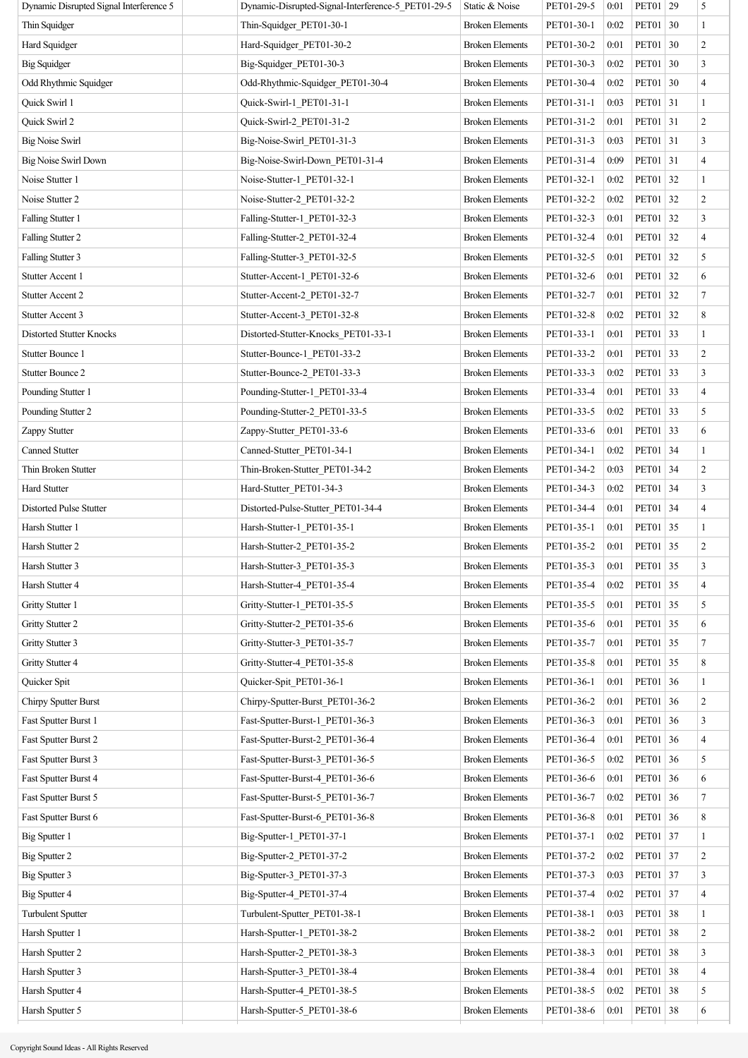| Dynamic Disrupted Signal Interference 5 | Dynamic-Disrupted-Signal-Interference-5 PET01-29-5 | Static & Noise         | PET01-29-5 | 0:01 | PET01   29   |    | 5              |
|-----------------------------------------|----------------------------------------------------|------------------------|------------|------|--------------|----|----------------|
| Thin Squidger                           | Thin-Squidger PET01-30-1                           | <b>Broken Elements</b> | PET01-30-1 | 0:02 | PET01 30     |    | $\mathbf{1}$   |
| Hard Squidger                           | Hard-Squidger_PET01-30-2                           | <b>Broken Elements</b> | PET01-30-2 | 0:01 | <b>PET01</b> | 30 | $\overline{c}$ |
| <b>Big Squidger</b>                     | Big-Squidger_PET01-30-3                            | <b>Broken Elements</b> | PET01-30-3 | 0:02 | PET01 30     |    | 3              |
| Odd Rhythmic Squidger                   | Odd-Rhythmic-Squidger_PET01-30-4                   | <b>Broken Elements</b> | PET01-30-4 | 0:02 | PET01 30     |    | $\overline{4}$ |
| Quick Swirl 1                           | Quick-Swirl-1_PET01-31-1                           | <b>Broken Elements</b> | PET01-31-1 | 0:03 | PET01 31     |    | $\mathbf{1}$   |
| Quick Swirl 2                           | Quick-Swirl-2 PET01-31-2                           | <b>Broken Elements</b> | PET01-31-2 | 0:01 | PET01 31     |    | $\overline{c}$ |
| <b>Big Noise Swirl</b>                  | Big-Noise-Swirl PET01-31-3                         | <b>Broken Elements</b> | PET01-31-3 | 0:03 | PET01 31     |    | 3              |
| <b>Big Noise Swirl Down</b>             | Big-Noise-Swirl-Down_PET01-31-4                    | <b>Broken Elements</b> | PET01-31-4 | 0:09 | PET01 31     |    | $\overline{4}$ |
| Noise Stutter 1                         | Noise-Stutter-1_PET01-32-1                         | <b>Broken Elements</b> | PET01-32-1 | 0:02 | PET01 32     |    | $\mathbf{1}$   |
| Noise Stutter 2                         | Noise-Stutter-2 PET01-32-2                         | <b>Broken Elements</b> | PET01-32-2 | 0:02 | PET01 32     |    | $\overline{c}$ |
| Falling Stutter 1                       | Falling-Stutter-1 PET01-32-3                       | <b>Broken Elements</b> | PET01-32-3 | 0:01 | <b>PET01</b> | 32 | 3              |
| Falling Stutter 2                       | Falling-Stutter-2 PET01-32-4                       | <b>Broken Elements</b> | PET01-32-4 | 0:01 | PET01 32     |    | $\overline{4}$ |
| Falling Stutter 3                       | Falling-Stutter-3_PET01-32-5                       | <b>Broken Elements</b> | PET01-32-5 | 0:01 | PET01 32     |    | 5              |
| Stutter Accent 1                        | Stutter-Accent-1 PET01-32-6                        | <b>Broken Elements</b> | PET01-32-6 | 0:01 | PET01 32     |    | 6              |
| <b>Stutter Accent 2</b>                 | Stutter-Accent-2_PET01-32-7                        | <b>Broken Elements</b> | PET01-32-7 | 0:01 | PET01 32     |    | $\tau$         |
| <b>Stutter Accent 3</b>                 | Stutter-Accent-3_PET01-32-8                        | <b>Broken Elements</b> | PET01-32-8 | 0:02 | PET01 32     |    | 8              |
| <b>Distorted Stutter Knocks</b>         | Distorted-Stutter-Knocks PET01-33-1                | <b>Broken Elements</b> | PET01-33-1 | 0:01 | PET01 33     |    | $\mathbf{1}$   |
| <b>Stutter Bounce 1</b>                 | Stutter-Bounce-1 PET01-33-2                        | <b>Broken Elements</b> | PET01-33-2 | 0:01 | PET01        | 33 | $\overline{c}$ |
| Stutter Bounce 2                        | Stutter-Bounce-2 PET01-33-3                        | <b>Broken Elements</b> | PET01-33-3 | 0:02 | PET01 33     |    | 3              |
| Pounding Stutter 1                      | Pounding-Stutter-1 PET01-33-4                      | <b>Broken Elements</b> | PET01-33-4 | 0:01 | PET01 33     |    | $\overline{4}$ |
| Pounding Stutter 2                      | Pounding-Stutter-2_PET01-33-5                      | <b>Broken Elements</b> | PET01-33-5 | 0:02 | PET01 33     |    | 5              |
| Zappy Stutter                           | Zappy-Stutter PET01-33-6                           | <b>Broken Elements</b> | PET01-33-6 | 0:01 | PET01 33     |    | 6              |
| Canned Stutter                          | Canned-Stutter_PET01-34-1                          | <b>Broken Elements</b> | PET01-34-1 | 0:02 | PET01 34     |    | $\mathbf{1}$   |
| Thin Broken Stutter                     | Thin-Broken-Stutter_PET01-34-2                     | <b>Broken Elements</b> | PET01-34-2 | 0:03 | PET01 34     |    | $\overline{c}$ |
| Hard Stutter                            | Hard-Stutter PET01-34-3                            | <b>Broken Elements</b> | PET01-34-3 | 0:02 | <b>PET01</b> | 34 | 3              |
| <b>Distorted Pulse Stutter</b>          | Distorted-Pulse-Stutter PET01-34-4                 | <b>Broken Elements</b> | PET01-34-4 | 0:01 | PET01 34     |    | $\overline{4}$ |
| Harsh Stutter 1                         | Harsh-Stutter-1_PET01-35-1                         | <b>Broken Elements</b> | PET01-35-1 | 0:01 | PET01 35     |    | $\mathbf{1}$   |
| Harsh Stutter 2                         | Harsh-Stutter-2_PET01-35-2                         | <b>Broken Elements</b> | PET01-35-2 | 0:01 | PET01 35     |    | $\overline{c}$ |
| Harsh Stutter 3                         | Harsh-Stutter-3 PET01-35-3                         | <b>Broken Elements</b> | PET01-35-3 | 0:01 | PET01 35     |    | $\sqrt{3}$     |
| Harsh Stutter 4                         | Harsh-Stutter-4 PET01-35-4                         | <b>Broken Elements</b> | PET01-35-4 | 0:02 | PET01 35     |    | 4              |
| Gritty Stutter 1                        | Gritty-Stutter-1_PET01-35-5                        | <b>Broken Elements</b> | PET01-35-5 | 0:01 | PET01 35     |    | 5              |
| Gritty Stutter 2                        | Gritty-Stutter-2_PET01-35-6                        | <b>Broken Elements</b> | PET01-35-6 | 0:01 | PET01 35     |    | 6              |
| Gritty Stutter 3                        | Gritty-Stutter-3 PET01-35-7                        | <b>Broken Elements</b> | PET01-35-7 | 0:01 | PET01 35     |    | $\tau$         |
| Gritty Stutter 4                        | Gritty-Stutter-4_PET01-35-8                        | <b>Broken Elements</b> | PET01-35-8 | 0:01 | <b>PET01</b> | 35 | 8              |
| Quicker Spit                            | Quicker-Spit_PET01-36-1                            | <b>Broken Elements</b> | PET01-36-1 | 0:01 | PET01 36     |    | $\mathbf{1}$   |
| Chirpy Sputter Burst                    | Chirpy-Sputter-Burst_PET01-36-2                    | <b>Broken Elements</b> | PET01-36-2 | 0:01 | PET01 36     |    | $\overline{c}$ |
| Fast Sputter Burst 1                    | Fast-Sputter-Burst-1_PET01-36-3                    | <b>Broken Elements</b> | PET01-36-3 | 0:01 | PET01 36     |    | 3              |
| Fast Sputter Burst 2                    | Fast-Sputter-Burst-2_PET01-36-4                    | <b>Broken Elements</b> | PET01-36-4 | 0:01 | PET01 36     |    | 4              |
| Fast Sputter Burst 3                    | Fast-Sputter-Burst-3_PET01-36-5                    | <b>Broken Elements</b> | PET01-36-5 | 0:02 | PET01 36     |    | 5              |
| Fast Sputter Burst 4                    | Fast-Sputter-Burst-4 PET01-36-6                    | <b>Broken Elements</b> | PET01-36-6 | 0:01 | PET01 36     |    | 6              |
| Fast Sputter Burst 5                    | Fast-Sputter-Burst-5_PET01-36-7                    | <b>Broken Elements</b> | PET01-36-7 | 0:02 | <b>PET01</b> | 36 | $\tau$         |
| Fast Sputter Burst 6                    | Fast-Sputter-Burst-6_PET01-36-8                    | <b>Broken Elements</b> | PET01-36-8 | 0:01 | PET01 36     |    | 8              |
| <b>Big Sputter 1</b>                    | Big-Sputter-1_PET01-37-1                           | <b>Broken Elements</b> | PET01-37-1 | 0:02 | PET01 37     |    | $\mathbf{1}$   |
| Big Sputter 2                           | Big-Sputter-2 PET01-37-2                           | <b>Broken Elements</b> | PET01-37-2 | 0:02 | PET01 37     |    | 2              |
| Big Sputter 3                           | Big-Sputter-3_PET01-37-3                           | <b>Broken Elements</b> | PET01-37-3 | 0:03 | PET01 37     |    | 3              |
| Big Sputter 4                           | Big-Sputter-4 PET01-37-4                           | <b>Broken Elements</b> | PET01-37-4 | 0:02 | PET01 37     |    | 4              |
| <b>Turbulent Sputter</b>                | Turbulent-Sputter_PET01-38-1                       | <b>Broken Elements</b> | PET01-38-1 | 0:03 | PET01 38     |    | $\mathbf{1}$   |
| Harsh Sputter 1                         | Harsh-Sputter-1_PET01-38-2                         | <b>Broken Elements</b> | PET01-38-2 | 0:01 | <b>PET01</b> | 38 | 2              |
| Harsh Sputter 2                         | Harsh-Sputter-2_PET01-38-3                         | <b>Broken Elements</b> | PET01-38-3 | 0:01 | PET01 38     |    | 3              |
| Harsh Sputter 3                         | Harsh-Sputter-3_PET01-38-4                         | <b>Broken Elements</b> | PET01-38-4 | 0:01 | PET01        | 38 | 4              |
| Harsh Sputter 4                         | Harsh-Sputter-4 PET01-38-5                         | <b>Broken Elements</b> | PET01-38-5 | 0:02 | PET01 38     |    | 5              |
| Harsh Sputter 5                         | Harsh-Sputter-5_PET01-38-6                         | <b>Broken Elements</b> | PET01-38-6 | 0:01 | PET01 38     |    | 6              |
|                                         |                                                    |                        |            |      |              |    |                |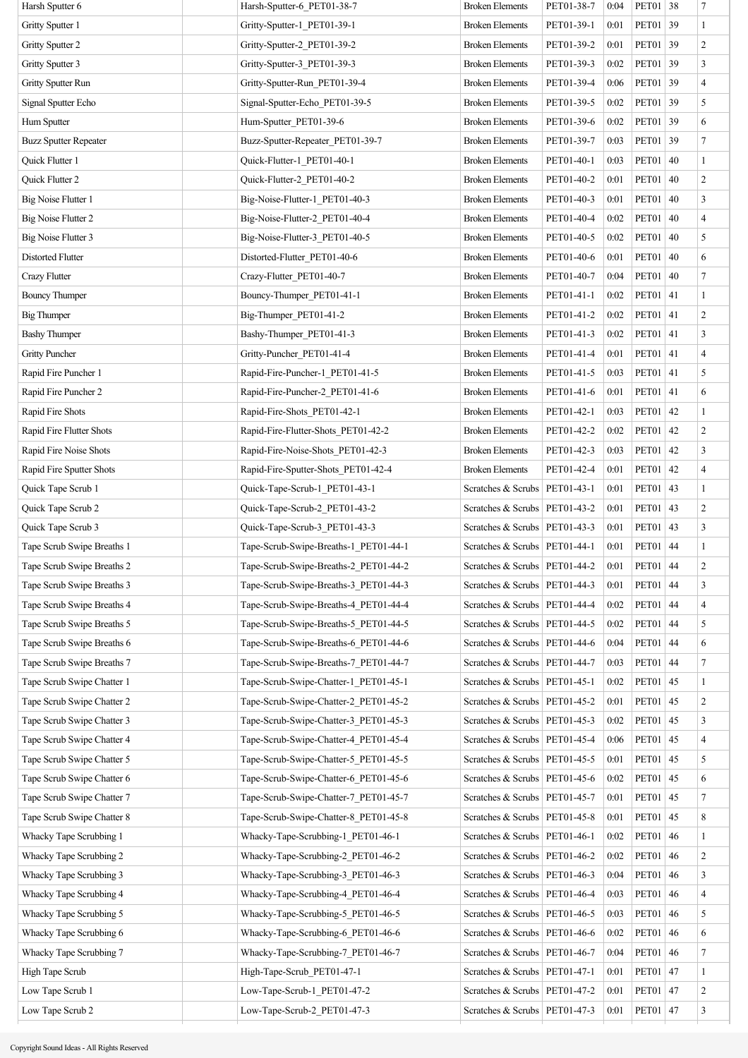| Harsh Sputter 6              | Harsh-Sputter-6 PET01-38-7            | <b>Broken Elements</b>            | PET01-38-7 | 0:04 | PET01 38     |    | 7                        |
|------------------------------|---------------------------------------|-----------------------------------|------------|------|--------------|----|--------------------------|
| Gritty Sputter 1             | Gritty-Sputter-1 PET01-39-1           | <b>Broken Elements</b>            | PET01-39-1 | 0:01 | PET01        | 39 | $\mathbf{1}$             |
| Gritty Sputter 2             | Gritty-Sputter-2_PET01-39-2           | <b>Broken Elements</b>            | PET01-39-2 | 0:01 | PET01        | 39 | $\overline{c}$           |
| Gritty Sputter 3             | Gritty-Sputter-3 PET01-39-3           | <b>Broken Elements</b>            | PET01-39-3 | 0:02 | <b>PET01</b> | 39 | $\mathfrak{Z}$           |
| Gritty Sputter Run           | Gritty-Sputter-Run PET01-39-4         | <b>Broken Elements</b>            | PET01-39-4 | 0:06 | PET01        | 39 | $\overline{\mathbf{4}}$  |
| Signal Sputter Echo          | Signal-Sputter-Echo PET01-39-5        | <b>Broken Elements</b>            | PET01-39-5 | 0:02 | <b>PET01</b> | 39 | 5                        |
| Hum Sputter                  | Hum-Sputter PET01-39-6                | <b>Broken Elements</b>            | PET01-39-6 | 0:02 | PET01        | 39 | 6                        |
| <b>Buzz Sputter Repeater</b> | Buzz-Sputter-Repeater PET01-39-7      | <b>Broken Elements</b>            | PET01-39-7 | 0:03 | PET01        | 39 | $\overline{7}$           |
| Quick Flutter 1              | Quick-Flutter-1 PET01-40-1            | <b>Broken Elements</b>            | PET01-40-1 | 0:03 | PET01        | 40 | $\mathbf{1}$             |
| Quick Flutter 2              | Quick-Flutter-2_PET01-40-2            | <b>Broken Elements</b>            | PET01-40-2 | 0:01 | PET01        | 40 | $\overline{c}$           |
| Big Noise Flutter 1          | Big-Noise-Flutter-1 PET01-40-3        | <b>Broken Elements</b>            | PET01-40-3 | 0:01 | PET01        | 40 | $\mathfrak{Z}$           |
| <b>Big Noise Flutter 2</b>   | Big-Noise-Flutter-2_PET01-40-4        | <b>Broken Elements</b>            | PET01-40-4 | 0:02 | PET01        | 40 | $\overline{4}$           |
| <b>Big Noise Flutter 3</b>   | Big-Noise-Flutter-3 PET01-40-5        | <b>Broken Elements</b>            | PET01-40-5 | 0:02 | PET01        | 40 | 5                        |
| <b>Distorted Flutter</b>     | Distorted-Flutter_PET01-40-6          | <b>Broken Elements</b>            | PET01-40-6 | 0:01 | PET01        | 40 | 6                        |
| Crazy Flutter                | Crazy-Flutter PET01-40-7              | <b>Broken Elements</b>            | PET01-40-7 | 0:04 | PET01        | 40 | 7                        |
| <b>Bouncy Thumper</b>        | Bouncy-Thumper_PET01-41-1             | <b>Broken Elements</b>            | PET01-41-1 | 0:02 | PET01 41     |    | $\mathbf{1}$             |
| <b>Big Thumper</b>           | Big-Thumper PET01-41-2                | <b>Broken Elements</b>            | PET01-41-2 | 0:02 | <b>PET01</b> | 41 | $\overline{c}$           |
| <b>Bashy Thumper</b>         | Bashy-Thumper_PET01-41-3              | <b>Broken Elements</b>            | PET01-41-3 | 0:02 | PET01 41     |    | 3                        |
| <b>Gritty Puncher</b>        | Gritty-Puncher_PET01-41-4             | <b>Broken Elements</b>            | PET01-41-4 | 0:01 | PET01        | 41 | $\overline{4}$           |
| Rapid Fire Puncher 1         | Rapid-Fire-Puncher-1 PET01-41-5       | <b>Broken Elements</b>            | PET01-41-5 | 0:03 | <b>PET01</b> | 41 | 5                        |
| Rapid Fire Puncher 2         | Rapid-Fire-Puncher-2_PET01-41-6       | <b>Broken Elements</b>            | PET01-41-6 | 0:01 | <b>PET01</b> | 41 | 6                        |
| Rapid Fire Shots             | Rapid-Fire-Shots PET01-42-1           | <b>Broken Elements</b>            | PET01-42-1 | 0:03 | PET01        | 42 | $\mathbf{1}$             |
| Rapid Fire Flutter Shots     | Rapid-Fire-Flutter-Shots_PET01-42-2   | <b>Broken Elements</b>            | PET01-42-2 | 0:02 | PET01        | 42 | $\overline{c}$           |
| Rapid Fire Noise Shots       | Rapid-Fire-Noise-Shots PET01-42-3     | <b>Broken Elements</b>            | PET01-42-3 | 0:03 | PET01        | 42 | 3                        |
| Rapid Fire Sputter Shots     | Rapid-Fire-Sputter-Shots_PET01-42-4   | <b>Broken Elements</b>            | PET01-42-4 | 0:01 | PET01        | 42 | $\overline{4}$           |
| Quick Tape Scrub 1           | Quick-Tape-Scrub-1 PET01-43-1         | Scratches & Scrubs                | PET01-43-1 | 0:01 | PET01        | 43 | $\mathbf{1}$             |
| Quick Tape Scrub 2           | Quick-Tape-Scrub-2_PET01-43-2         | Scratches & Scrubs   PET01-43-2   |            | 0:01 | PET01        | 43 | $\overline{c}$           |
| Quick Tape Scrub 3           | Quick-Tape-Scrub-3 PET01-43-3         | Scratches & Scrubs   PET01-43-3   |            | 0:01 | PET01        | 43 | 3                        |
| Tape Scrub Swipe Breaths 1   | Tape-Scrub-Swipe-Breaths-1_PET01-44-1 | Scratches & Scrubs   PET01-44-1   |            | 0:01 | PET01        | 44 | $\mathbf{1}$             |
| Tape Scrub Swipe Breaths 2   | Tape-Scrub-Swipe-Breaths-2_PET01-44-2 | Scratches & Scrubs   $PET01-44-2$ |            | 0:01 | PET01        | 44 | $\boldsymbol{2}$         |
| Tape Scrub Swipe Breaths 3   | Tape-Scrub-Swipe-Breaths-3 PET01-44-3 | Scratches & Scrubs   PET01-44-3   |            | 0:01 | <b>PET01</b> | 44 | 3                        |
| Tape Scrub Swipe Breaths 4   | Tape-Scrub-Swipe-Breaths-4 PET01-44-4 | Scratches & Scrubs   PET01-44-4   |            | 0:02 | PET01        | 44 | $\overline{4}$           |
| Tape Scrub Swipe Breaths 5   | Tape-Scrub-Swipe-Breaths-5 PET01-44-5 | Scratches & Scrubs   PET01-44-5   |            | 0:02 | PET01        | 44 | 5                        |
| Tape Scrub Swipe Breaths 6   | Tape-Scrub-Swipe-Breaths-6 PET01-44-6 | Scratches & Scrubs   PET01-44-6   |            | 0:04 | <b>PET01</b> | 44 | 6                        |
| Tape Scrub Swipe Breaths 7   | Tape-Scrub-Swipe-Breaths-7 PET01-44-7 | Scratches & Scrubs   PET01-44-7   |            | 0:03 | PET01        | 44 | 7                        |
| Tape Scrub Swipe Chatter 1   | Tape-Scrub-Swipe-Chatter-1 PET01-45-1 | Scratches & Scrubs   PET01-45-1   |            | 0:02 | PET01        | 45 | $\mathbf{1}$             |
| Tape Scrub Swipe Chatter 2   | Tape-Scrub-Swipe-Chatter-2 PET01-45-2 | Scratches & Scrubs   PET01-45-2   |            | 0:01 | PET01        | 45 | $\overline{c}$           |
| Tape Scrub Swipe Chatter 3   | Tape-Scrub-Swipe-Chatter-3 PET01-45-3 | Scratches & Scrubs   PET01-45-3   |            | 0:02 | <b>PET01</b> | 45 | 3                        |
| Tape Scrub Swipe Chatter 4   | Tape-Scrub-Swipe-Chatter-4 PET01-45-4 | Scratches & Scrubs   PET01-45-4   |            | 0:06 | PET01        | 45 | $\overline{\mathbf{4}}$  |
| Tape Scrub Swipe Chatter 5   | Tape-Scrub-Swipe-Chatter-5 PET01-45-5 | Scratches & Scrubs   PET01-45-5   |            | 0:01 | PET01        | 45 | 5                        |
| Tape Scrub Swipe Chatter 6   | Tape-Scrub-Swipe-Chatter-6 PET01-45-6 | Scratches & Scrubs   PET01-45-6   |            | 0:02 | PET01        | 45 | 6                        |
| Tape Scrub Swipe Chatter 7   | Tape-Scrub-Swipe-Chatter-7 PET01-45-7 | Scratches & Scrubs   PET01-45-7   |            | 0:01 | PET01        | 45 | 7                        |
| Tape Scrub Swipe Chatter 8   | Tape-Scrub-Swipe-Chatter-8 PET01-45-8 | Scratches & Scrubs   PET01-45-8   |            | 0:01 | PET01        | 45 | 8                        |
| Whacky Tape Scrubbing 1      | Whacky-Tape-Scrubbing-1 PET01-46-1    | Scratches & Scrubs   PET01-46-1   |            | 0:02 | PET01        | 46 | $\mathbf{1}$             |
| Whacky Tape Scrubbing 2      | Whacky-Tape-Scrubbing-2 PET01-46-2    | Scratches & Scrubs   PET01-46-2   |            | 0:02 | PET01        | 46 | $\overline{c}$           |
| Whacky Tape Scrubbing 3      | Whacky-Tape-Scrubbing-3 PET01-46-3    | Scratches & Scrubs   PET01-46-3   |            | 0:04 | PET01        | 46 | 3                        |
| Whacky Tape Scrubbing 4      | Whacky-Tape-Scrubbing-4 PET01-46-4    | Scratches & Scrubs   PET01-46-4   |            | 0:03 | PET01        | 46 | $\overline{\mathcal{A}}$ |
| Whacky Tape Scrubbing 5      | Whacky-Tape-Scrubbing-5 PET01-46-5    | Scratches & Scrubs   PET01-46-5   |            | 0:03 | PET01        | 46 | 5                        |
| Whacky Tape Scrubbing 6      | Whacky-Tape-Scrubbing-6 PET01-46-6    | Scratches & Scrubs   PET01-46-6   |            | 0:02 | PET01        | 46 | 6                        |
| Whacky Tape Scrubbing 7      | Whacky-Tape-Scrubbing-7 PET01-46-7    | Scratches & Scrubs   PET01-46-7   |            | 0:04 | PET01        | 46 | $\overline{7}$           |
| High Tape Scrub              | High-Tape-Scrub PET01-47-1            | Scratches & Scrubs   PET01-47-1   |            | 0:01 | PET01        | 47 | $\mathbf{1}$             |
| Low Tape Scrub 1             | Low-Tape-Scrub-1 PET01-47-2           | Scratches & Scrubs   PET01-47-2   |            | 0:01 | <b>PET01</b> | 47 | $\overline{c}$           |
| Low Tape Scrub 2             | Low-Tape-Scrub-2 PET01-47-3           | Scratches & Scrubs   PET01-47-3   |            | 0:01 | PET01        | 47 | 3                        |
|                              |                                       |                                   |            |      |              |    |                          |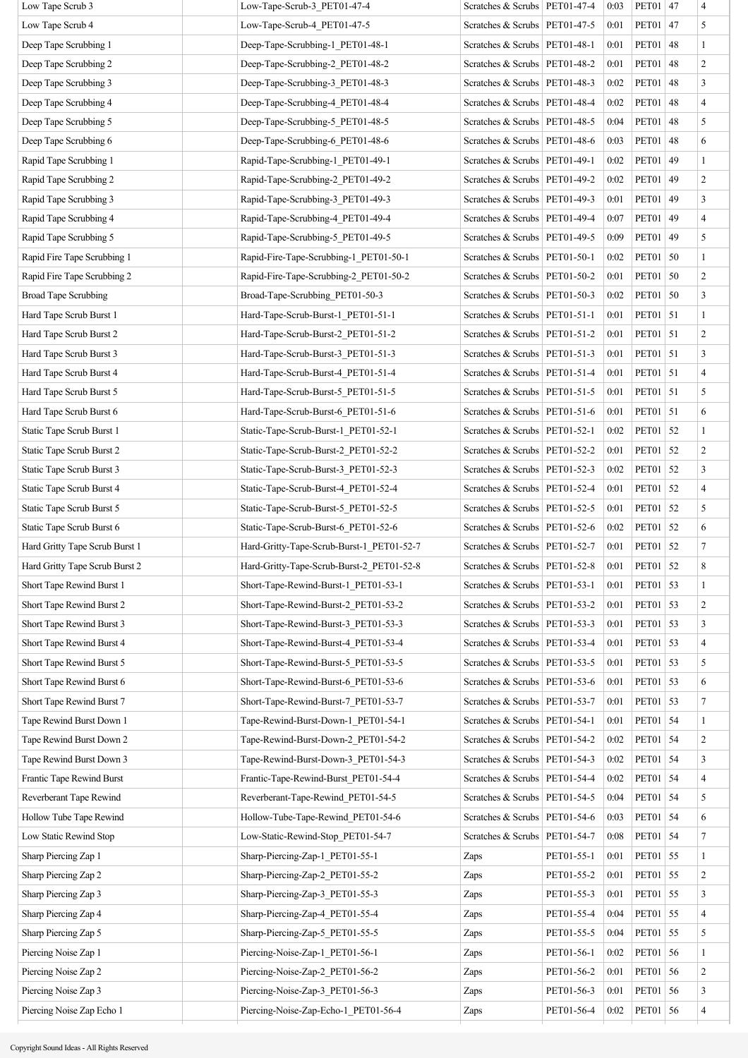| Low Tape Scrub 3               | Low-Tape-Scrub-3 PET01-47-4               | Scratches & Scrubs   PET01-47-4 |            | 0:03 | PET01   47   |    | $\overline{\mathcal{A}}$ |
|--------------------------------|-------------------------------------------|---------------------------------|------------|------|--------------|----|--------------------------|
| Low Tape Scrub 4               | Low-Tape-Scrub-4 PET01-47-5               | Scratches & Scrubs   PET01-47-5 |            | 0:01 | <b>PET01</b> | 47 | 5                        |
| Deep Tape Scrubbing 1          | Deep-Tape-Scrubbing-1 PET01-48-1          | Scratches & Scrubs   PET01-48-1 |            | 0:01 | PET01        | 48 | $\mathbf{1}$             |
| Deep Tape Scrubbing 2          | Deep-Tape-Scrubbing-2 PET01-48-2          | Scratches & Scrubs   PET01-48-2 |            | 0:01 | PET01        | 48 | $\overline{c}$           |
| Deep Tape Scrubbing 3          | Deep-Tape-Scrubbing-3 PET01-48-3          | Scratches & Scrubs   PET01-48-3 |            | 0:02 | PET01        | 48 | 3                        |
| Deep Tape Scrubbing 4          | Deep-Tape-Scrubbing-4 PET01-48-4          | Scratches & Scrubs   PET01-48-4 |            | 0:02 | <b>PET01</b> | 48 | $\overline{4}$           |
| Deep Tape Scrubbing 5          | Deep-Tape-Scrubbing-5 PET01-48-5          | Scratches & Scrubs   PET01-48-5 |            | 0:04 | PET01        | 48 | 5                        |
| Deep Tape Scrubbing 6          | Deep-Tape-Scrubbing-6 PET01-48-6          | Scratches & Scrubs   PET01-48-6 |            | 0:03 | PET01        | 48 | 6                        |
| Rapid Tape Scrubbing 1         | Rapid-Tape-Scrubbing-1 PET01-49-1         | Scratches & Scrubs   PET01-49-1 |            | 0:02 | PET01        | 49 | $\mathbf{1}$             |
| Rapid Tape Scrubbing 2         | Rapid-Tape-Scrubbing-2_PET01-49-2         | Scratches & Scrubs   PET01-49-2 |            | 0:02 | PET01        | 49 | $\overline{c}$           |
| Rapid Tape Scrubbing 3         | Rapid-Tape-Scrubbing-3_PET01-49-3         | Scratches & Scrubs   PET01-49-3 |            | 0:01 | PET01        | 49 | 3                        |
| Rapid Tape Scrubbing 4         | Rapid-Tape-Scrubbing-4_PET01-49-4         | Scratches & Scrubs   PET01-49-4 |            | 0:07 | PET01        | 49 | $\overline{\mathbf{4}}$  |
| Rapid Tape Scrubbing 5         | Rapid-Tape-Scrubbing-5 PET01-49-5         | Scratches & Scrubs   PET01-49-5 |            | 0:09 | PET01        | 49 | 5                        |
| Rapid Fire Tape Scrubbing 1    | Rapid-Fire-Tape-Scrubbing-1 PET01-50-1    | Scratches & Scrubs   PET01-50-1 |            | 0:02 | <b>PET01</b> | 50 | $\mathbf{1}$             |
| Rapid Fire Tape Scrubbing 2    | Rapid-Fire-Tape-Scrubbing-2 PET01-50-2    | Scratches & Scrubs   PET01-50-2 |            | 0:01 | <b>PET01</b> | 50 | $\overline{c}$           |
| <b>Broad Tape Scrubbing</b>    | Broad-Tape-Scrubbing PET01-50-3           | Scratches & Scrubs   PET01-50-3 |            | 0:02 | PET01 50     |    | 3                        |
| Hard Tape Scrub Burst 1        | Hard-Tape-Scrub-Burst-1 PET01-51-1        | Scratches & Scrubs   PET01-51-1 |            | 0:01 | PET01   51   |    | $\mathbf{1}$             |
| Hard Tape Scrub Burst 2        | Hard-Tape-Scrub-Burst-2 PET01-51-2        | Scratches & Scrubs   PET01-51-2 |            | 0:01 | PET01   51   |    | $\overline{c}$           |
| Hard Tape Scrub Burst 3        | Hard-Tape-Scrub-Burst-3 PET01-51-3        | Scratches & Scrubs   PET01-51-3 |            | 0:01 | <b>PET01</b> | 51 | 3                        |
| Hard Tape Scrub Burst 4        | Hard-Tape-Scrub-Burst-4 PET01-51-4        | Scratches & Scrubs   PET01-51-4 |            | 0:01 | PET01   51   |    | $\overline{4}$           |
| Hard Tape Scrub Burst 5        | Hard-Tape-Scrub-Burst-5 PET01-51-5        | Scratches & Scrubs   PET01-51-5 |            | 0:01 | PET01   51   |    | 5                        |
| Hard Tape Scrub Burst 6        | Hard-Tape-Scrub-Burst-6 PET01-51-6        | Scratches & Scrubs   PET01-51-6 |            | 0:01 | PET01   51   |    | 6                        |
| Static Tape Scrub Burst 1      | Static-Tape-Scrub-Burst-1 PET01-52-1      | Scratches & Scrubs   PET01-52-1 |            | 0:02 | <b>PET01</b> | 52 | $\mathbf{1}$             |
| Static Tape Scrub Burst 2      | Static-Tape-Scrub-Burst-2 PET01-52-2      | Scratches & Scrubs   PET01-52-2 |            | 0:01 | <b>PET01</b> | 52 | $\boldsymbol{2}$         |
| Static Tape Scrub Burst 3      | Static-Tape-Scrub-Burst-3 PET01-52-3      | Scratches & Scrubs   PET01-52-3 |            | 0:02 | <b>PET01</b> | 52 | 3                        |
| Static Tape Scrub Burst 4      | Static-Tape-Scrub-Burst-4 PET01-52-4      | Scratches & Scrubs   PET01-52-4 |            | 0:01 | <b>PET01</b> | 52 | $\overline{4}$           |
| Static Tape Scrub Burst 5      | Static-Tape-Scrub-Burst-5 PET01-52-5      | Scratches & Scrubs   PET01-52-5 |            | 0:01 | <b>PET01</b> | 52 | 5                        |
| Static Tape Scrub Burst 6      | Static-Tape-Scrub-Burst-6 PET01-52-6      | Scratches & Scrubs   PET01-52-6 |            | 0:02 | <b>PET01</b> | 52 | 6                        |
| Hard Gritty Tape Scrub Burst 1 | Hard-Gritty-Tape-Scrub-Burst-1 PET01-52-7 | Scratches & Scrubs   PET01-52-7 |            | 0:01 | <b>PET01</b> | 52 | $\overline{7}$           |
| Hard Gritty Tape Scrub Burst 2 | Hard-Gritty-Tape-Scrub-Burst-2_PET01-52-8 | Scratches & Scrubs   PET01-52-8 |            | 0:01 | PET01 52     |    | 8                        |
| Short Tape Rewind Burst 1      | Short-Tape-Rewind-Burst-1 PET01-53-1      | Scratches & Scrubs   PET01-53-1 |            | 0:01 | PET01 53     |    | 1                        |
| Short Tape Rewind Burst 2      | Short-Tape-Rewind-Burst-2 PET01-53-2      | Scratches & Scrubs   PET01-53-2 |            | 0:01 | <b>PET01</b> | 53 | $\,2$                    |
| Short Tape Rewind Burst 3      | Short-Tape-Rewind-Burst-3 PET01-53-3      | Scratches & Scrubs   PET01-53-3 |            | 0:01 | <b>PET01</b> | 53 | 3                        |
| Short Tape Rewind Burst 4      | Short-Tape-Rewind-Burst-4 PET01-53-4      | Scratches & Scrubs   PET01-53-4 |            | 0:01 | <b>PET01</b> | 53 | 4                        |
| Short Tape Rewind Burst 5      | Short-Tape-Rewind-Burst-5 PET01-53-5      | Scratches & Scrubs   PET01-53-5 |            | 0:01 | PET01        | 53 | 5                        |
| Short Tape Rewind Burst 6      | Short-Tape-Rewind-Burst-6 PET01-53-6      | Scratches & Scrubs   PET01-53-6 |            | 0:01 | PET01        | 53 | 6                        |
| Short Tape Rewind Burst 7      | Short-Tape-Rewind-Burst-7 PET01-53-7      | Scratches & Scrubs   PET01-53-7 |            | 0:01 | <b>PET01</b> | 53 | 7                        |
| Tape Rewind Burst Down 1       | Tape-Rewind-Burst-Down-1 PET01-54-1       | Scratches & Scrubs   PET01-54-1 |            | 0:01 | <b>PET01</b> | 54 | $\mathbf{1}$             |
| Tape Rewind Burst Down 2       | Tape-Rewind-Burst-Down-2 PET01-54-2       | Scratches & Scrubs   PET01-54-2 |            | 0:02 | <b>PET01</b> | 54 | $\boldsymbol{2}$         |
| Tape Rewind Burst Down 3       | Tape-Rewind-Burst-Down-3 PET01-54-3       | Scratches & Scrubs   PET01-54-3 |            | 0:02 | <b>PET01</b> | 54 | 3                        |
| Frantic Tape Rewind Burst      | Frantic-Tape-Rewind-Burst PET01-54-4      | Scratches & Scrubs   PET01-54-4 |            | 0:02 | <b>PET01</b> | 54 | $\overline{4}$           |
| Reverberant Tape Rewind        | Reverberant-Tape-Rewind_PET01-54-5        | Scratches & Scrubs   PET01-54-5 |            | 0:04 | PET01        | 54 | 5                        |
| Hollow Tube Tape Rewind        | Hollow-Tube-Tape-Rewind PET01-54-6        | Scratches & Scrubs   PET01-54-6 |            | 0:03 | <b>PET01</b> | 54 | 6                        |
| Low Static Rewind Stop         | Low-Static-Rewind-Stop PET01-54-7         | Scratches & Scrubs   PET01-54-7 |            | 0:08 | <b>PET01</b> | 54 | 7                        |
| Sharp Piercing Zap 1           | Sharp-Piercing-Zap-1 PET01-55-1           | Zaps                            | PET01-55-1 | 0:01 | <b>PET01</b> | 55 | $\mathbf{1}$             |
| Sharp Piercing Zap 2           | Sharp-Piercing-Zap-2 PET01-55-2           | Zaps                            | PET01-55-2 | 0:01 | <b>PET01</b> | 55 | $\boldsymbol{2}$         |
| Sharp Piercing Zap 3           | Sharp-Piercing-Zap-3 PET01-55-3           | Zaps                            | PET01-55-3 | 0:01 | <b>PET01</b> | 55 | 3                        |
| Sharp Piercing Zap 4           | Sharp-Piercing-Zap-4 PET01-55-4           | Zaps                            | PET01-55-4 | 0:04 | <b>PET01</b> | 55 | $\overline{4}$           |
| Sharp Piercing Zap 5           | Sharp-Piercing-Zap-5 PET01-55-5           | Zaps                            | PET01-55-5 | 0:04 | PET01        | 55 | 5                        |
| Piercing Noise Zap 1           | Piercing-Noise-Zap-1 PET01-56-1           | Zaps                            | PET01-56-1 | 0:02 | <b>PET01</b> | 56 | $\mathbf{1}$             |
| Piercing Noise Zap 2           | Piercing-Noise-Zap-2 PET01-56-2           | Zaps                            | PET01-56-2 | 0:01 | PET01        | 56 | $\overline{c}$           |
| Piercing Noise Zap 3           | Piercing-Noise-Zap-3 PET01-56-3           | Zaps                            | PET01-56-3 | 0:01 | <b>PET01</b> | 56 | 3                        |
| Piercing Noise Zap Echo 1      | Piercing-Noise-Zap-Echo-1 PET01-56-4      | Zaps                            | PET01-56-4 | 0:02 | <b>PET01</b> | 56 | $\overline{\mathbf{4}}$  |
|                                |                                           |                                 |            |      |              |    |                          |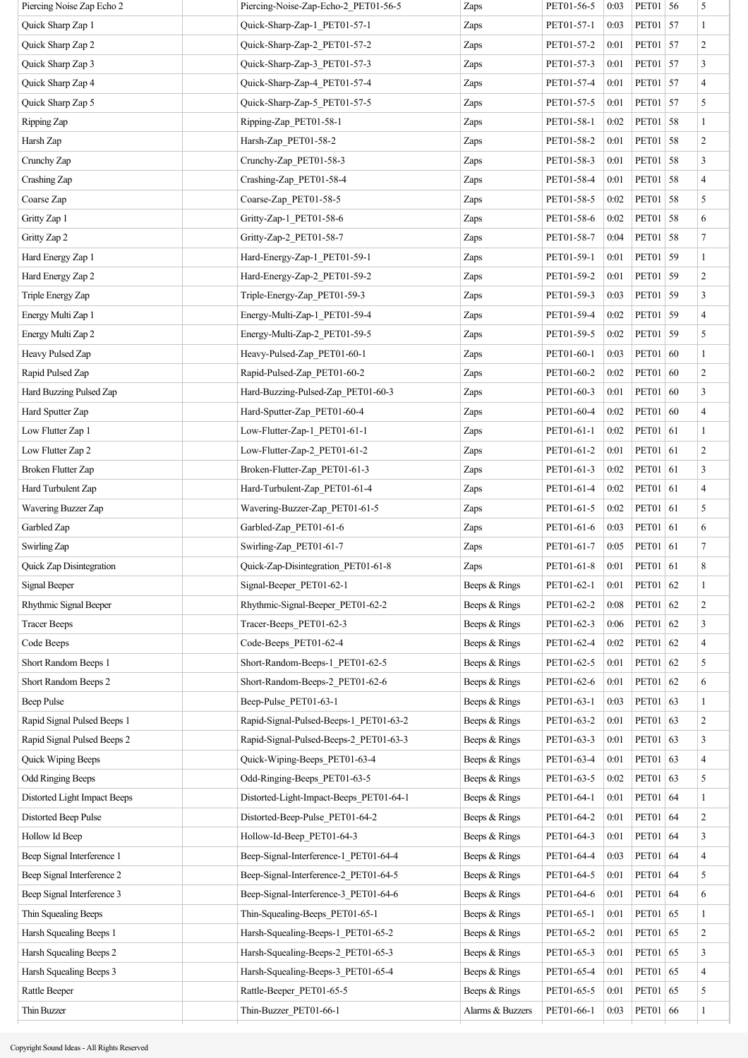| Piercing Noise Zap Echo 2    | Piercing-Noise-Zap-Echo-2_PET01-56-5    | Zaps             | PET01-56-5 | 0:03 | PET01 56     |    | 5                        |
|------------------------------|-----------------------------------------|------------------|------------|------|--------------|----|--------------------------|
| Quick Sharp Zap 1            | Quick-Sharp-Zap-1 PET01-57-1            | Zaps             | PET01-57-1 | 0:03 | PET01 57     |    | $\mathbf{1}$             |
| Quick Sharp Zap 2            | Quick-Sharp-Zap-2_PET01-57-2            | Zaps             | PET01-57-2 | 0:01 | PET01 57     |    | $\overline{c}$           |
| Quick Sharp Zap 3            | Quick-Sharp-Zap-3_PET01-57-3            | Zaps             | PET01-57-3 | 0:01 | PET01 57     |    | 3                        |
| Quick Sharp Zap 4            | Quick-Sharp-Zap-4_PET01-57-4            | Zaps             | PET01-57-4 | 0:01 | PET01 57     |    | 4                        |
| Quick Sharp Zap 5            | Quick-Sharp-Zap-5 PET01-57-5            | Zaps             | PET01-57-5 | 0:01 | PET01 57     |    | 5                        |
| Ripping Zap                  | Ripping-Zap PET01-58-1                  | Zaps             | PET01-58-1 | 0:02 | PET01 58     |    | $\mathbf{1}$             |
| Harsh Zap                    | Harsh-Zap_PET01-58-2                    | Zaps             | PET01-58-2 | 0:01 | PET01        | 58 | $\overline{c}$           |
| Crunchy Zap                  | Crunchy-Zap_PET01-58-3                  | Zaps             | PET01-58-3 | 0:01 | PET01 58     |    | 3                        |
| Crashing Zap                 | Crashing-Zap_PET01-58-4                 | Zaps             | PET01-58-4 | 0:01 | <b>PET01</b> | 58 | 4                        |
| Coarse Zap                   | Coarse-Zap_PET01-58-5                   | Zaps             | PET01-58-5 | 0:02 | PET01 58     |    | 5                        |
| Gritty Zap 1                 | Gritty-Zap-1 PET01-58-6                 | Zaps             | PET01-58-6 | 0:02 | PET01        | 58 | 6                        |
| Gritty Zap 2                 | Gritty-Zap-2 PET01-58-7                 | Zaps             | PET01-58-7 | 0:04 | PET01 58     |    | $\tau$                   |
| Hard Energy Zap 1            | Hard-Energy-Zap-1_PET01-59-1            | Zaps             | PET01-59-1 | 0:01 | PET01 59     |    | $\mathbf{1}$             |
| Hard Energy Zap 2            | Hard-Energy-Zap-2_PET01-59-2            | Zaps             | PET01-59-2 | 0:01 | PET01 59     |    | $\overline{\mathbf{c}}$  |
| Triple Energy Zap            | Triple-Energy-Zap PET01-59-3            | Zaps             | PET01-59-3 | 0:03 | PET01 59     |    | 3                        |
| Energy Multi Zap 1           | Energy-Multi-Zap-1_PET01-59-4           | Zaps             | PET01-59-4 | 0:02 | PET01 59     |    | 4                        |
| Energy Multi Zap 2           | Energy-Multi-Zap-2 PET01-59-5           | Zaps             | PET01-59-5 | 0:02 | PET01 59     |    | 5                        |
| Heavy Pulsed Zap             | Heavy-Pulsed-Zap PET01-60-1             | Zaps             | PET01-60-1 | 0:03 | PET01        | 60 | 1                        |
| Rapid Pulsed Zap             | Rapid-Pulsed-Zap PET01-60-2             | Zaps             | PET01-60-2 | 0:02 | PET01 60     |    | $\overline{c}$           |
| Hard Buzzing Pulsed Zap      | Hard-Buzzing-Pulsed-Zap_PET01-60-3      | Zaps             | PET01-60-3 | 0:01 | PET01 60     |    | 3                        |
| Hard Sputter Zap             | Hard-Sputter-Zap PET01-60-4             | Zaps             | PET01-60-4 | 0:02 | PET01 60     |    | 4                        |
| Low Flutter Zap 1            | Low-Flutter-Zap-1 PET01-61-1            | Zaps             | PET01-61-1 | 0:02 | PET01 61     |    | 1                        |
| Low Flutter Zap 2            | Low-Flutter-Zap-2 PET01-61-2            | Zaps             | PET01-61-2 | 0:01 | PET01 61     |    | $\overline{c}$           |
| <b>Broken Flutter Zap</b>    | Broken-Flutter-Zap_PET01-61-3           | Zaps             | PET01-61-3 | 0:02 | PET01 61     |    | 3                        |
| Hard Turbulent Zap           | Hard-Turbulent-Zap PET01-61-4           | Zaps             | PET01-61-4 | 0:02 | PET01        | 61 | 4                        |
| Wavering Buzzer Zap          | Wavering-Buzzer-Zap PET01-61-5          | Zaps             | PET01-61-5 | 0:02 | PET01 61     |    | 5                        |
| Garbled Zap                  | Garbled-Zap_PET01-61-6                  | Zaps             | PET01-61-6 | 0:03 | PET01 61     |    | 6                        |
| Swirling Zap                 | Swirling-Zap_PET01-61-7                 | Zaps             | PET01-61-7 | 0:05 | PET01 61     |    | 7                        |
| Quick Zap Disintegration     | Quick-Zap-Disintegration_PET01-61-8     | Zaps             | PET01-61-8 | 0:01 | PET01 61     |    | 8                        |
| Signal Beeper                | Signal-Beeper PET01-62-1                | Beeps & Rings    | PET01-62-1 | 0:01 | PET01 62     |    | $\mathbf{1}$             |
| Rhythmic Signal Beeper       | Rhythmic-Signal-Beeper_PET01-62-2       | Beeps & Rings    | PET01-62-2 | 0:08 | PET01        | 62 | $\overline{c}$           |
| <b>Tracer Beeps</b>          | Tracer-Beeps PET01-62-3                 | Beeps & Rings    | PET01-62-3 | 0:06 | PET01        | 62 | 3                        |
| Code Beeps                   | Code-Beeps_PET01-62-4                   | Beeps & Rings    | PET01-62-4 | 0:02 | PET01        | 62 | $\overline{\mathcal{A}}$ |
| Short Random Beeps 1         | Short-Random-Beeps-1_PET01-62-5         | Beeps & Rings    | PET01-62-5 | 0:01 | <b>PET01</b> | 62 | 5                        |
| Short Random Beeps 2         | Short-Random-Beeps-2_PET01-62-6         | Beeps & Rings    | PET01-62-6 | 0:01 | PET01 62     |    | 6                        |
| Beep Pulse                   | Beep-Pulse_PET01-63-1                   | Beeps & Rings    | PET01-63-1 | 0:03 | PET01 63     |    | 1                        |
| Rapid Signal Pulsed Beeps 1  | Rapid-Signal-Pulsed-Beeps-1 PET01-63-2  | Beeps & Rings    | PET01-63-2 | 0:01 | PET01 63     |    | $\overline{\mathbf{c}}$  |
| Rapid Signal Pulsed Beeps 2  | Rapid-Signal-Pulsed-Beeps-2_PET01-63-3  | Beeps & Rings    | PET01-63-3 | 0:01 | PET01 63     |    | 3                        |
| Quick Wiping Beeps           | Quick-Wiping-Beeps_PET01-63-4           | Beeps & Rings    | PET01-63-4 | 0:01 | PET01        | 63 | 4                        |
| <b>Odd Ringing Beeps</b>     | Odd-Ringing-Beeps_PET01-63-5            | Beeps & Rings    | PET01-63-5 | 0:02 | PET01 63     |    | 5                        |
| Distorted Light Impact Beeps | Distorted-Light-Impact-Beeps_PET01-64-1 | Beeps & Rings    | PET01-64-1 | 0:01 | PET01        | 64 | $\mathbf{1}$             |
| Distorted Beep Pulse         | Distorted-Beep-Pulse PET01-64-2         | Beeps & Rings    | PET01-64-2 | 0:01 | PET01 64     |    | $\overline{c}$           |
| Hollow Id Beep               | Hollow-Id-Beep_PET01-64-3               | Beeps & Rings    | PET01-64-3 | 0:01 | PET01 64     |    | 3                        |
| Beep Signal Interference 1   | Beep-Signal-Interference-1 PET01-64-4   | Beeps & Rings    | PET01-64-4 | 0:03 | PET01 64     |    | 4                        |
| Beep Signal Interference 2   | Beep-Signal-Interference-2_PET01-64-5   | Beeps & Rings    | PET01-64-5 | 0:01 | PET01 64     |    | 5                        |
| Beep Signal Interference 3   | Beep-Signal-Interference-3_PET01-64-6   | Beeps & Rings    | PET01-64-6 | 0:01 | PET01 64     |    | 6                        |
| Thin Squealing Beeps         | Thin-Squealing-Beeps_PET01-65-1         | Beeps & Rings    | PET01-65-1 | 0:01 | PET01 65     |    | $\mathbf{1}$             |
| Harsh Squealing Beeps 1      | Harsh-Squealing-Beeps-1_PET01-65-2      | Beeps & Rings    | PET01-65-2 | 0:01 | <b>PET01</b> | 65 | $\overline{c}$           |
| Harsh Squealing Beeps 2      | Harsh-Squealing-Beeps-2_PET01-65-3      | Beeps & Rings    | PET01-65-3 | 0:01 | PET01        | 65 | 3                        |
| Harsh Squealing Beeps 3      | Harsh-Squealing-Beeps-3_PET01-65-4      | Beeps & Rings    | PET01-65-4 | 0:01 | PET01        | 65 | 4                        |
| Rattle Beeper                | Rattle-Beeper PET01-65-5                | Beeps & Rings    | PET01-65-5 | 0:01 | PET01 65     |    | 5                        |
| Thin Buzzer                  | Thin-Buzzer PET01-66-1                  | Alarms & Buzzers | PET01-66-1 | 0:03 | PET01 66     |    | $\mathbf{1}$             |
|                              |                                         |                  |            |      |              |    |                          |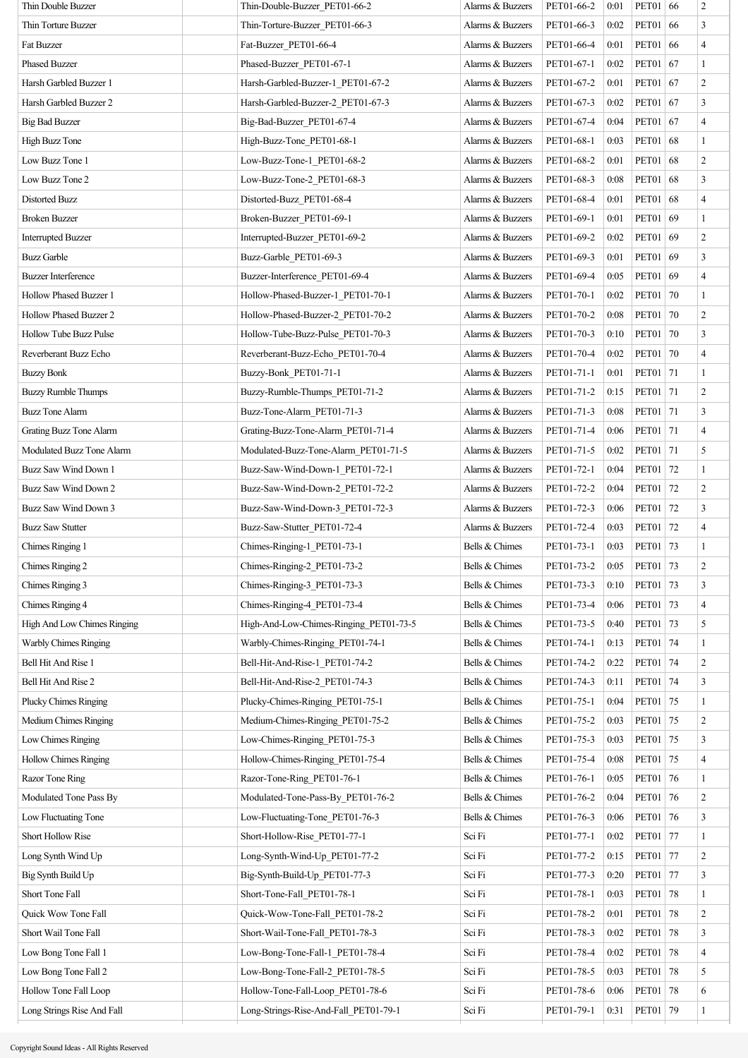| Thin Double Buzzer            | Thin-Double-Buzzer PET01-66-2          | Alarms & Buzzers | PET01-66-2 | 0:01 | PET01 66            |    | 2                |
|-------------------------------|----------------------------------------|------------------|------------|------|---------------------|----|------------------|
| Thin Torture Buzzer           | Thin-Torture-Buzzer PET01-66-3         | Alarms & Buzzers | PET01-66-3 | 0:02 | PET01 66            |    | 3                |
| <b>Fat Buzzer</b>             | Fat-Buzzer PET01-66-4                  | Alarms & Buzzers | PET01-66-4 | 0:01 | PET01 66            |    | $\overline{4}$   |
| <b>Phased Buzzer</b>          | Phased-Buzzer_PET01-67-1               | Alarms & Buzzers | PET01-67-1 | 0:02 | PET01 67            |    | $\mathbf{1}$     |
| Harsh Garbled Buzzer 1        | Harsh-Garbled-Buzzer-1 PET01-67-2      | Alarms & Buzzers | PET01-67-2 | 0:01 | PET01 67            |    | $\sqrt{2}$       |
| Harsh Garbled Buzzer 2        | Harsh-Garbled-Buzzer-2 PET01-67-3      | Alarms & Buzzers | PET01-67-3 | 0:02 | PET01 67            |    | $\mathfrak{Z}$   |
| <b>Big Bad Buzzer</b>         | Big-Bad-Buzzer_PET01-67-4              | Alarms & Buzzers | PET01-67-4 | 0:04 | PET01 67            |    | $\overline{4}$   |
| High Buzz Tone                | High-Buzz-Tone_PET01-68-1              | Alarms & Buzzers | PET01-68-1 | 0:03 | <b>PET01</b>        | 68 | $\mathbf{1}$     |
| Low Buzz Tone 1               | Low-Buzz-Tone-1 PET01-68-2             | Alarms & Buzzers | PET01-68-2 | 0:01 | PET01 68            |    | $\overline{c}$   |
| Low Buzz Tone 2               | Low-Buzz-Tone-2 PET01-68-3             | Alarms & Buzzers | PET01-68-3 | 0:08 | PET01               | 68 | $\mathfrak{Z}$   |
| Distorted Buzz                | Distorted-Buzz_PET01-68-4              | Alarms & Buzzers | PET01-68-4 | 0:01 | PET01 68            |    | $\overline{4}$   |
| <b>Broken Buzzer</b>          | Broken-Buzzer_PET01-69-1               | Alarms & Buzzers | PET01-69-1 | 0:01 | PET01 69            |    | $\mathbf{1}$     |
| <b>Interrupted Buzzer</b>     | Interrupted-Buzzer PET01-69-2          | Alarms & Buzzers | PET01-69-2 | 0:02 | PET01 69            |    | $\boldsymbol{2}$ |
| <b>Buzz Garble</b>            | Buzz-Garble_PET01-69-3                 | Alarms & Buzzers | PET01-69-3 | 0:01 | PET01 69            |    | $\mathfrak{Z}$   |
| <b>Buzzer Interference</b>    | Buzzer-Interference PET01-69-4         | Alarms & Buzzers | PET01-69-4 | 0:05 | <b>PET01</b>        | 69 | $\overline{4}$   |
| <b>Hollow Phased Buzzer 1</b> | Hollow-Phased-Buzzer-1 PET01-70-1      | Alarms & Buzzers | PET01-70-1 | 0:02 | PET01               | 70 | $\mathbf{1}$     |
| Hollow Phased Buzzer 2        | Hollow-Phased-Buzzer-2 PET01-70-2      | Alarms & Buzzers | PET01-70-2 | 0:08 | <b>PET01</b>        | 70 | $\overline{c}$   |
| <b>Hollow Tube Buzz Pulse</b> | Hollow-Tube-Buzz-Pulse PET01-70-3      | Alarms & Buzzers | PET01-70-3 | 0:10 | <b>PET01</b>        | 70 | $\mathfrak{Z}$   |
| Reverberant Buzz Echo         | Reverberant-Buzz-Echo PET01-70-4       | Alarms & Buzzers | PET01-70-4 | 0:02 | <b>PET01</b>        | 70 | $\overline{4}$   |
| <b>Buzzy Bonk</b>             | Buzzy-Bonk PET01-71-1                  | Alarms & Buzzers | PET01-71-1 | 0:01 | PET01   71          |    | $\mathbf{1}$     |
| <b>Buzzy Rumble Thumps</b>    | Buzzy-Rumble-Thumps_PET01-71-2         | Alarms & Buzzers | PET01-71-2 | 0:15 | PET01 71            |    | $\overline{c}$   |
| <b>Buzz Tone Alarm</b>        | Buzz-Tone-Alarm_PET01-71-3             | Alarms & Buzzers | PET01-71-3 | 0:08 | PET01 71            |    | $\mathfrak{Z}$   |
| Grating Buzz Tone Alarm       | Grating-Buzz-Tone-Alarm_PET01-71-4     | Alarms & Buzzers | PET01-71-4 | 0:06 | PET01 71            |    | $\overline{4}$   |
| Modulated Buzz Tone Alarm     | Modulated-Buzz-Tone-Alarm PET01-71-5   | Alarms & Buzzers | PET01-71-5 | 0:02 | PET01 71            |    | 5                |
| Buzz Saw Wind Down 1          | Buzz-Saw-Wind-Down-1 PET01-72-1        | Alarms & Buzzers | PET01-72-1 | 0:04 | PET01 72            |    | $\mathbf{1}$     |
| Buzz Saw Wind Down 2          | Buzz-Saw-Wind-Down-2_PET01-72-2        | Alarms & Buzzers | PET01-72-2 | 0:04 | <b>PET01</b>        | 72 | $\overline{c}$   |
| Buzz Saw Wind Down 3          | Buzz-Saw-Wind-Down-3 PET01-72-3        | Alarms & Buzzers | PET01-72-3 | 0:06 | PET01   72          |    | $\mathfrak{Z}$   |
| <b>Buzz Saw Stutter</b>       | Buzz-Saw-Stutter PET01-72-4            | Alarms & Buzzers | PET01-72-4 | 0:03 | PET01               | 72 | $\overline{4}$   |
| Chimes Ringing 1              | Chimes-Ringing-1_PET01-73-1            | Bells & Chimes   | PET01-73-1 | 0:03 | PET01 73            |    | $\mathbf{1}$     |
| Chimes Ringing 2              | Chimes-Ringing-2_PET01-73-2            | Bells & Chimes   | PET01-73-2 |      | $0:05$   PET01   73 |    | $\boldsymbol{2}$ |
| Chimes Ringing 3              | Chimes-Ringing-3 PET01-73-3            | Bells & Chimes   | PET01-73-3 | 0:10 | <b>PET01</b>        | 73 | 3                |
| Chimes Ringing 4              | Chimes-Ringing-4_PET01-73-4            | Bells & Chimes   | PET01-73-4 | 0:06 | PET01               | 73 | $\overline{4}$   |
| High And Low Chimes Ringing   | High-And-Low-Chimes-Ringing PET01-73-5 | Bells & Chimes   | PET01-73-5 | 0:40 | PET01               | 73 | 5                |
| Warbly Chimes Ringing         | Warbly-Chimes-Ringing_PET01-74-1       | Bells & Chimes   | PET01-74-1 | 0:13 | PET01               | 74 | $\mathbf{1}$     |
| Bell Hit And Rise 1           | Bell-Hit-And-Rise-1 PET01-74-2         | Bells & Chimes   | PET01-74-2 | 0:22 | PET01               | 74 | $\overline{c}$   |
| Bell Hit And Rise 2           | Bell-Hit-And-Rise-2 PET01-74-3         | Bells & Chimes   | PET01-74-3 | 0:11 | PET01               | 74 | 3                |
| <b>Plucky Chimes Ringing</b>  | Plucky-Chimes-Ringing_PET01-75-1       | Bells & Chimes   | PET01-75-1 | 0:04 | PET01               | 75 | $\mathbf{1}$     |
| Medium Chimes Ringing         | Medium-Chimes-Ringing_PET01-75-2       | Bells & Chimes   | PET01-75-2 | 0:03 | <b>PET01</b>        | 75 | $\overline{c}$   |
| Low Chimes Ringing            | Low-Chimes-Ringing_PET01-75-3          | Bells & Chimes   | PET01-75-3 | 0:03 | PET01               | 75 | 3                |
| <b>Hollow Chimes Ringing</b>  | Hollow-Chimes-Ringing_PET01-75-4       | Bells & Chimes   | PET01-75-4 | 0:08 | PET01               | 75 | $\overline{4}$   |
| Razor Tone Ring               | Razor-Tone-Ring_PET01-76-1             | Bells & Chimes   | PET01-76-1 | 0:05 | PET01               | 76 | 1                |
| Modulated Tone Pass By        | Modulated-Tone-Pass-By_PET01-76-2      | Bells & Chimes   | PET01-76-2 | 0:04 | PET01               | 76 | $\overline{c}$   |
| Low Fluctuating Tone          | Low-Fluctuating-Tone PET01-76-3        | Bells & Chimes   | PET01-76-3 | 0:06 | <b>PET01</b>        | 76 | 3                |
| <b>Short Hollow Rise</b>      | Short-Hollow-Rise PET01-77-1           | Sci Fi           | PET01-77-1 | 0:02 | PET01               | 77 | $\mathbf{1}$     |
| Long Synth Wind Up            | Long-Synth-Wind-Up PET01-77-2          | Sci Fi           | PET01-77-2 | 0:15 | PET01               | 77 | 2                |
| Big Synth Build Up            | Big-Synth-Build-Up PET01-77-3          | Sci Fi           | PET01-77-3 | 0:20 | PET01               | 77 | 3                |
| Short Tone Fall               | Short-Tone-Fall_PET01-78-1             | Sci Fi           | PET01-78-1 | 0:03 | PET01               | 78 | $\mathbf{1}$     |
| Quick Wow Tone Fall           | Quick-Wow-Tone-Fall PET01-78-2         | Sci Fi           | PET01-78-2 | 0:01 | PET01               | 78 | $\overline{c}$   |
| Short Wail Tone Fall          | Short-Wail-Tone-Fall PET01-78-3        | Sci Fi           | PET01-78-3 | 0:02 | PET01               | 78 | 3                |
| Low Bong Tone Fall 1          | Low-Bong-Tone-Fall-1 PET01-78-4        | Sci Fi           | PET01-78-4 | 0:02 | <b>PET01</b>        | 78 | 4                |
| Low Bong Tone Fall 2          | Low-Bong-Tone-Fall-2 PET01-78-5        | Sci Fi           | PET01-78-5 | 0:03 | PET01               | 78 | 5                |
| Hollow Tone Fall Loop         | Hollow-Tone-Fall-Loop PET01-78-6       | Sci Fi           | PET01-78-6 | 0:06 | <b>PET01</b>        | 78 | 6                |
| Long Strings Rise And Fall    | Long-Strings-Rise-And-Fall_PET01-79-1  | Sci Fi           | PET01-79-1 | 0:31 | <b>PET01</b>        | 79 | 1                |
|                               |                                        |                  |            |      |                     |    |                  |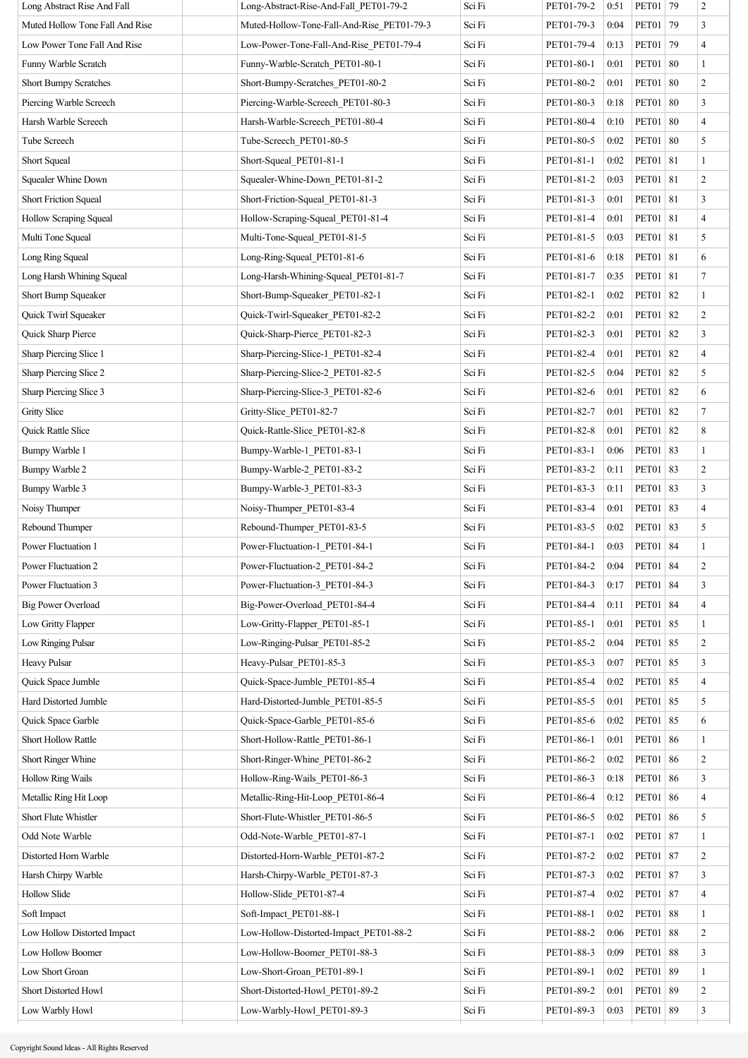| Long Abstract Rise And Fall     | Long-Abstract-Rise-And-Fall PET01-79-2     | Sci Fi | PET01-79-2 | 0:51 | PET01   79   |    | $\boldsymbol{2}$        |
|---------------------------------|--------------------------------------------|--------|------------|------|--------------|----|-------------------------|
| Muted Hollow Tone Fall And Rise | Muted-Hollow-Tone-Fall-And-Rise PET01-79-3 | Sci Fi | PET01-79-3 | 0:04 | <b>PET01</b> | 79 | 3                       |
| Low Power Tone Fall And Rise    | Low-Power-Tone-Fall-And-Rise PET01-79-4    | Sci Fi | PET01-79-4 | 0:13 | <b>PET01</b> | 79 | $\overline{\mathbf{4}}$ |
| Funny Warble Scratch            | Funny-Warble-Scratch PET01-80-1            | Sci Fi | PET01-80-1 | 0:01 | PET01        | 80 | $\mathbf{1}$            |
| <b>Short Bumpy Scratches</b>    | Short-Bumpy-Scratches_PET01-80-2           | Sci Fi | PET01-80-2 | 0:01 | <b>PET01</b> | 80 | $\,2$                   |
| Piercing Warble Screech         | Piercing-Warble-Screech_PET01-80-3         | Sci Fi | PET01-80-3 | 0:18 | PET01        | 80 | 3                       |
| Harsh Warble Screech            | Harsh-Warble-Screech_PET01-80-4            | Sci Fi | PET01-80-4 | 0:10 | <b>PET01</b> | 80 | $\overline{4}$          |
| Tube Screech                    | Tube-Screech PET01-80-5                    | Sci Fi | PET01-80-5 | 0:02 | PET01        | 80 | 5                       |
| Short Squeal                    | Short-Squeal PET01-81-1                    | Sci Fi | PET01-81-1 | 0:02 | <b>PET01</b> | 81 | $\mathbf{1}$            |
| Squealer Whine Down             | Squealer-Whine-Down PET01-81-2             | Sci Fi | PET01-81-2 | 0:03 | PET01   81   |    | $\overline{c}$          |
| <b>Short Friction Squeal</b>    | Short-Friction-Squeal_PET01-81-3           | Sci Fi | PET01-81-3 | 0:01 | PET01   81   |    | 3                       |
| Hollow Scraping Squeal          | Hollow-Scraping-Squeal PET01-81-4          | Sci Fi | PET01-81-4 | 0:01 | PET01   81   |    | $\overline{\mathbf{4}}$ |
| Multi Tone Squeal               | Multi-Tone-Squeal PET01-81-5               | Sci Fi | PET01-81-5 | 0:03 | PET01   81   |    | 5                       |
| Long Ring Squeal                | Long-Ring-Squeal PET01-81-6                | Sci Fi | PET01-81-6 | 0:18 | PET01 81     |    | 6                       |
| Long Harsh Whining Squeal       | Long-Harsh-Whining-Squeal_PET01-81-7       | Sci Fi | PET01-81-7 | 0:35 | <b>PET01</b> | 81 | 7                       |
| Short Bump Squeaker             | Short-Bump-Squeaker PET01-82-1             | Sci Fi | PET01-82-1 | 0:02 | <b>PET01</b> | 82 | $\mathbf{1}$            |
| Quick Twirl Squeaker            | Quick-Twirl-Squeaker_PET01-82-2            | Sci Fi | PET01-82-2 | 0:01 | PET01        | 82 | $\overline{c}$          |
| Quick Sharp Pierce              | Quick-Sharp-Pierce PET01-82-3              | Sci Fi | PET01-82-3 | 0:01 | <b>PET01</b> | 82 | 3                       |
| Sharp Piercing Slice 1          | Sharp-Piercing-Slice-1_PET01-82-4          | Sci Fi | PET01-82-4 | 0:01 | <b>PET01</b> | 82 | $\overline{\mathbf{4}}$ |
| Sharp Piercing Slice 2          | Sharp-Piercing-Slice-2_PET01-82-5          | Sci Fi | PET01-82-5 | 0:04 | <b>PET01</b> | 82 | 5                       |
| Sharp Piercing Slice 3          | Sharp-Piercing-Slice-3 PET01-82-6          | Sci Fi | PET01-82-6 | 0:01 | <b>PET01</b> | 82 | 6                       |
| <b>Gritty Slice</b>             | Gritty-Slice PET01-82-7                    | Sci Fi | PET01-82-7 | 0:01 | PET01        | 82 | $\overline{7}$          |
| Quick Rattle Slice              | Quick-Rattle-Slice PET01-82-8              | Sci Fi | PET01-82-8 | 0:01 | <b>PET01</b> | 82 | 8                       |
| Bumpy Warble 1                  | Bumpy-Warble-1_PET01-83-1                  | Sci Fi | PET01-83-1 | 0:06 | PET01        | 83 | $\mathbf{1}$            |
| Bumpy Warble 2                  | Bumpy-Warble-2 PET01-83-2                  | Sci Fi | PET01-83-2 | 0:11 | <b>PET01</b> | 83 | $\overline{c}$          |
| Bumpy Warble 3                  | Bumpy-Warble-3 PET01-83-3                  | Sci Fi | PET01-83-3 | 0:11 | <b>PET01</b> | 83 | 3                       |
| Noisy Thumper                   | Noisy-Thumper_PET01-83-4                   | Sci Fi | PET01-83-4 | 0:01 | <b>PET01</b> | 83 | $\overline{4}$          |
| Rebound Thumper                 | Rebound-Thumper_PET01-83-5                 | Sci Fi | PET01-83-5 | 0:02 | <b>PET01</b> | 83 | 5                       |
| Power Fluctuation 1             | Power-Fluctuation-1_PET01-84-1             | Sci Fi | PET01-84-1 | 0:03 | <b>PET01</b> | 84 | 1                       |
| Power Fluctuation 2             | Power-Fluctuation-2_PET01-84-2             | Sci Fi | PET01-84-2 | 0:04 | PET01        | 84 | $\overline{c}$          |
| Power Fluctuation 3             | Power-Fluctuation-3_PET01-84-3             | Sci Fi | PET01-84-3 | 0:17 | <b>PET01</b> | 84 | 3                       |
| <b>Big Power Overload</b>       | Big-Power-Overload_PET01-84-4              | Sci Fi | PET01-84-4 | 0:11 | PET01        | 84 | $\overline{4}$          |
| Low Gritty Flapper              | Low-Gritty-Flapper_PET01-85-1              | Sci Fi | PET01-85-1 | 0:01 | PET01        | 85 | $\mathbf{1}$            |
| Low Ringing Pulsar              | Low-Ringing-Pulsar PET01-85-2              | Sci Fi | PET01-85-2 | 0:04 | <b>PET01</b> | 85 | $\overline{c}$          |
| <b>Heavy Pulsar</b>             | Heavy-Pulsar_PET01-85-3                    | Sci Fi | PET01-85-3 | 0:07 | PET01        | 85 | 3                       |
| Quick Space Jumble              | Quick-Space-Jumble PET01-85-4              | Sci Fi | PET01-85-4 | 0:02 | <b>PET01</b> | 85 | $\overline{4}$          |
| Hard Distorted Jumble           | Hard-Distorted-Jumble PET01-85-5           | Sci Fi | PET01-85-5 | 0:01 | PET01        | 85 | 5                       |
| Quick Space Garble              | Quick-Space-Garble_PET01-85-6              | Sci Fi | PET01-85-6 | 0:02 | PET01        | 85 | 6                       |
| <b>Short Hollow Rattle</b>      | Short-Hollow-Rattle PET01-86-1             | Sci Fi | PET01-86-1 | 0:01 | <b>PET01</b> | 86 | $\mathbf{1}$            |
| Short Ringer Whine              | Short-Ringer-Whine_PET01-86-2              | Sci Fi | PET01-86-2 | 0:02 | PET01        | 86 | $\overline{c}$          |
| <b>Hollow Ring Wails</b>        | Hollow-Ring-Wails PET01-86-3               | Sci Fi | PET01-86-3 | 0:18 | PET01        | 86 | $\mathfrak{Z}$          |
| Metallic Ring Hit Loop          | Metallic-Ring-Hit-Loop_PET01-86-4          | Sci Fi | PET01-86-4 | 0:12 | PET01        | 86 | $\overline{\mathbf{4}}$ |
| Short Flute Whistler            | Short-Flute-Whistler_PET01-86-5            | Sci Fi | PET01-86-5 | 0:02 | <b>PET01</b> | 86 | 5                       |
| Odd Note Warble                 | Odd-Note-Warble PET01-87-1                 | Sci Fi | PET01-87-1 | 0:02 | PET01        | 87 | $\mathbf{1}$            |
| Distorted Horn Warble           | Distorted-Horn-Warble PET01-87-2           | Sci Fi | PET01-87-2 | 0:02 | PET01        | 87 | $\overline{c}$          |
| Harsh Chirpy Warble             | Harsh-Chirpy-Warble PET01-87-3             | Sci Fi | PET01-87-3 | 0:02 | PET01        | 87 | 3                       |
| <b>Hollow Slide</b>             | Hollow-Slide_PET01-87-4                    | Sci Fi | PET01-87-4 | 0:02 | PET01        | 87 | $\overline{4}$          |
| Soft Impact                     | Soft-Impact_PET01-88-1                     | Sci Fi | PET01-88-1 | 0:02 | PET01        | 88 | $\mathbf{1}$            |
| Low Hollow Distorted Impact     | Low-Hollow-Distorted-Impact_PET01-88-2     | Sci Fi | PET01-88-2 | 0:06 | PET01        | 88 | $\boldsymbol{2}$        |
| Low Hollow Boomer               | Low-Hollow-Boomer PET01-88-3               | Sci Fi | PET01-88-3 | 0:09 | <b>PET01</b> | 88 | 3                       |
| Low Short Groan                 | Low-Short-Groan_PET01-89-1                 | Sci Fi | PET01-89-1 | 0:02 | <b>PET01</b> | 89 | $\mathbf{1}$            |
| Short Distorted Howl            | Short-Distorted-Howl PET01-89-2            | Sci Fi | PET01-89-2 | 0:01 | PET01        | 89 | $\overline{c}$          |
| Low Warbly Howl                 | Low-Warbly-Howl PET01-89-3                 | Sci Fi | PET01-89-3 | 0:03 | <b>PET01</b> | 89 | 3                       |